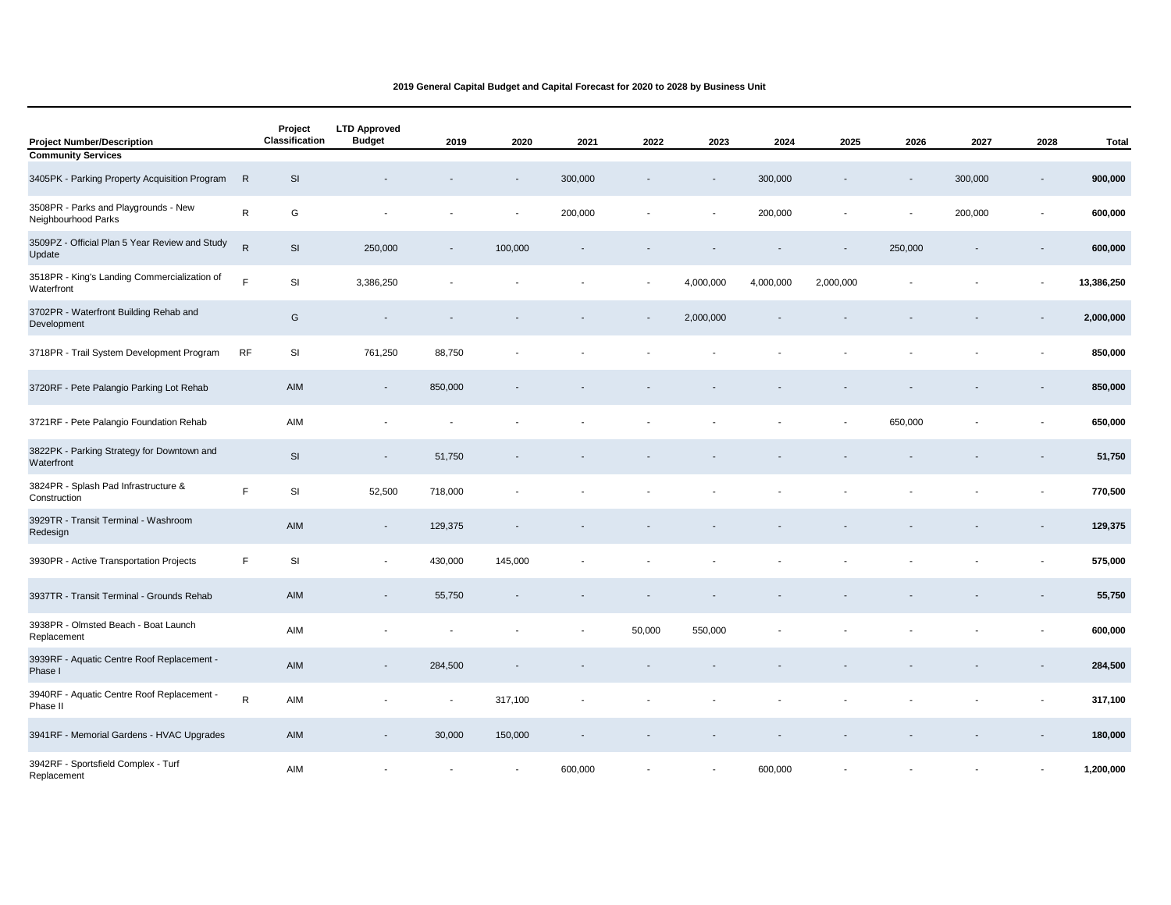| <b>Project Number/Description</b>                           |              | Project<br>Classification | <b>LTD Approved</b><br><b>Budget</b> | 2019                     | 2020    | 2021    | 2022                     | 2023                     | 2024      | 2025      | 2026                     | 2027    | 2028 | <b>Total</b> |
|-------------------------------------------------------------|--------------|---------------------------|--------------------------------------|--------------------------|---------|---------|--------------------------|--------------------------|-----------|-----------|--------------------------|---------|------|--------------|
| <b>Community Services</b>                                   |              |                           |                                      |                          |         |         |                          |                          |           |           |                          |         |      |              |
| 3405PK - Parking Property Acquisition Program               | R            | SI                        |                                      |                          |         | 300,000 |                          | $\overline{\phantom{a}}$ | 300,000   |           | $\overline{\phantom{a}}$ | 300,000 |      | 900,000      |
| 3508PR - Parks and Playgrounds - New<br>Neighbourhood Parks | ${\sf R}$    | G                         |                                      |                          |         | 200,000 |                          | $\overline{a}$           | 200,000   |           |                          | 200,000 |      | 600,000      |
| 3509PZ - Official Plan 5 Year Review and Study<br>Update    | $\mathsf{R}$ | SI                        | 250,000                              | $\overline{\phantom{a}}$ | 100,000 |         |                          |                          |           |           | 250,000                  |         |      | 600,000      |
| 3518PR - King's Landing Commercialization of<br>Waterfront  | F            | SI                        | 3,386,250                            |                          |         |         | $\overline{\phantom{a}}$ | 4,000,000                | 4,000,000 | 2,000,000 |                          |         |      | 13,386,250   |
| 3702PR - Waterfront Building Rehab and<br>Development       |              | G                         |                                      |                          |         |         |                          | 2,000,000                |           |           |                          |         |      | 2,000,000    |
| 3718PR - Trail System Development Program                   | <b>RF</b>    | SI                        | 761,250                              | 88,750                   |         |         |                          |                          |           |           |                          |         |      | 850,000      |
| 3720RF - Pete Palangio Parking Lot Rehab                    |              | AIM                       | $\overline{\phantom{a}}$             | 850,000                  |         |         |                          |                          |           |           |                          |         |      | 850,000      |
| 3721RF - Pete Palangio Foundation Rehab                     |              | AIM                       | $\overline{\phantom{a}}$             |                          |         |         |                          |                          |           |           | 650,000                  |         |      | 650,000      |
| 3822PK - Parking Strategy for Downtown and<br>Waterfront    |              | SI                        | $\overline{\phantom{a}}$             | 51,750                   |         |         |                          |                          |           |           |                          |         |      | 51,750       |
| 3824PR - Splash Pad Infrastructure &<br>Construction        | F            | SI                        | 52,500                               | 718,000                  |         |         |                          |                          |           |           |                          |         |      | 770,500      |
| 3929TR - Transit Terminal - Washroom<br>Redesign            |              | AIM                       | $\overline{\phantom{a}}$             | 129,375                  |         |         |                          |                          |           |           |                          |         |      | 129,375      |
| 3930PR - Active Transportation Projects                     | $\mathsf F$  | SI                        |                                      | 430,000                  | 145,000 |         |                          |                          |           |           |                          |         |      | 575,000      |
| 3937TR - Transit Terminal - Grounds Rehab                   |              | AIM                       |                                      | 55,750                   |         |         |                          |                          |           |           |                          |         |      | 55,750       |
| 3938PR - Olmsted Beach - Boat Launch<br>Replacement         |              | AIM                       |                                      |                          |         |         | 50,000                   | 550,000                  |           |           |                          |         |      | 600,000      |
| 3939RF - Aquatic Centre Roof Replacement -<br>Phase I       |              | AIM                       | $\overline{\phantom{a}}$             | 284,500                  |         |         |                          |                          |           |           |                          |         |      | 284,500      |
| 3940RF - Aquatic Centre Roof Replacement<br>Phase II        | $\mathsf{R}$ | AIM                       |                                      | $\overline{a}$           | 317,100 |         |                          |                          |           |           |                          |         |      | 317,100      |
| 3941RF - Memorial Gardens - HVAC Upgrades                   |              | AIM                       | $\overline{\phantom{a}}$             | 30,000                   | 150,000 |         |                          |                          |           |           |                          |         |      | 180,000      |
| 3942RF - Sportsfield Complex - Turf<br>Replacement          |              | AIM                       |                                      |                          |         | 600,000 |                          |                          | 600,000   |           |                          |         |      | 1,200,000    |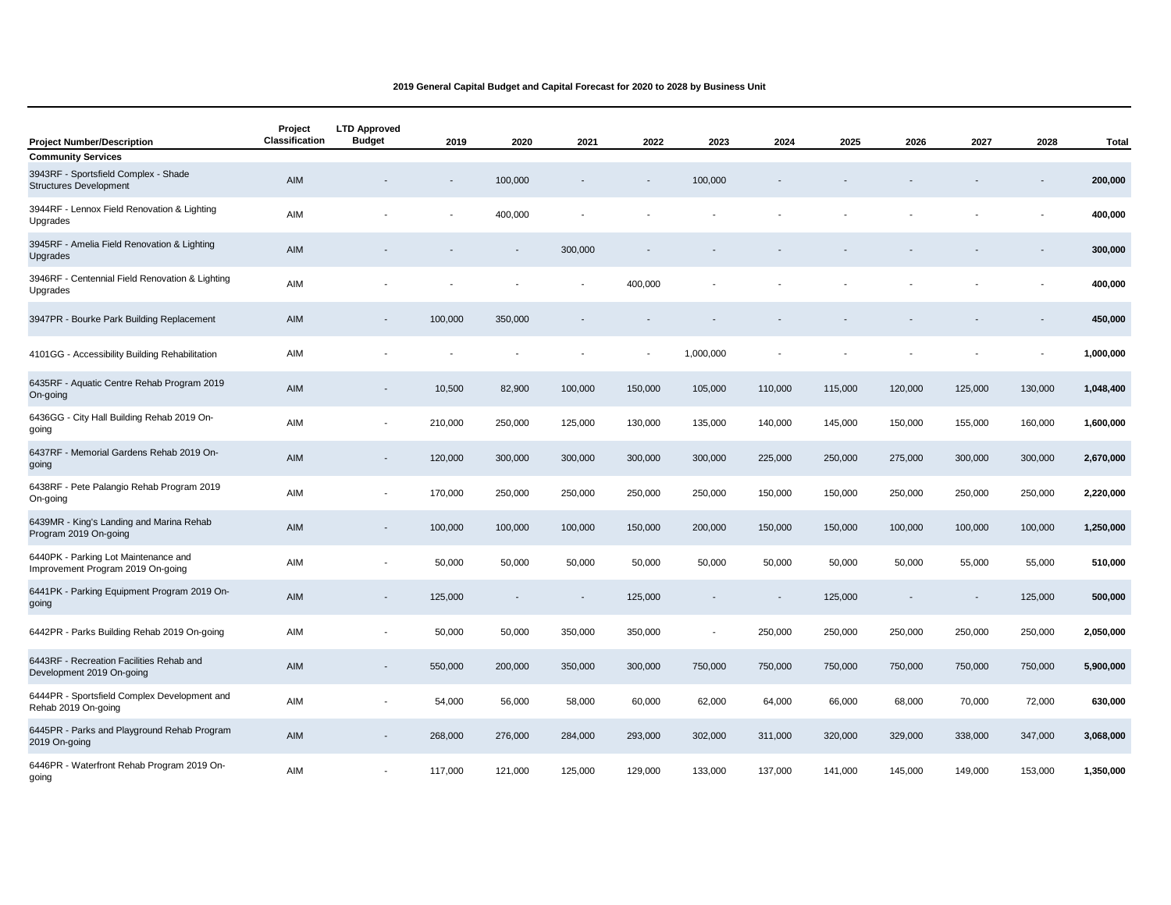| <b>Project Number/Description</b>                                         | Project<br>Classification | <b>LTD Approved</b><br><b>Budget</b> | 2019                     | 2020    | 2021    | 2022                     | 2023      | 2024    | 2025    | 2026    | 2027    | 2028    | Total     |
|---------------------------------------------------------------------------|---------------------------|--------------------------------------|--------------------------|---------|---------|--------------------------|-----------|---------|---------|---------|---------|---------|-----------|
| <b>Community Services</b>                                                 |                           |                                      |                          |         |         |                          |           |         |         |         |         |         |           |
| 3943RF - Sportsfield Complex - Shade<br><b>Structures Development</b>     | AIM                       |                                      |                          | 100,000 |         | $\overline{\phantom{a}}$ | 100,000   |         |         |         |         |         | 200,000   |
| 3944RF - Lennox Field Renovation & Lighting<br>Upgrades                   | AIM                       |                                      | $\blacksquare$           | 400,000 |         |                          |           |         |         |         |         |         | 400,000   |
| 3945RF - Amelia Field Renovation & Lighting<br>Upgrades                   | AIM                       |                                      |                          |         | 300,000 |                          |           |         |         |         |         |         | 300,000   |
| 3946RF - Centennial Field Renovation & Lighting<br>Upgrades               | AIM                       |                                      |                          |         |         | 400,000                  |           |         |         |         |         |         | 400,000   |
| 3947PR - Bourke Park Building Replacement                                 | AIM                       |                                      | 100,000                  | 350,000 |         |                          |           |         |         |         |         |         | 450,000   |
| 4101GG - Accessibility Building Rehabilitation                            | AIM                       | ٠                                    | $\overline{\phantom{a}}$ |         |         | $\blacksquare$           | 1,000,000 |         |         |         |         |         | 1,000,000 |
| 6435RF - Aquatic Centre Rehab Program 2019<br>On-going                    | AIM                       | $\overline{\phantom{a}}$             | 10,500                   | 82,900  | 100,000 | 150,000                  | 105,000   | 110,000 | 115,000 | 120,000 | 125,000 | 130,000 | 1,048,400 |
| 6436GG - City Hall Building Rehab 2019 On-<br>going                       | AIM                       | $\blacksquare$                       | 210,000                  | 250,000 | 125,000 | 130,000                  | 135,000   | 140,000 | 145,000 | 150,000 | 155,000 | 160,000 | 1,600,000 |
| 6437RF - Memorial Gardens Rehab 2019 On-<br>going                         | AIM                       | $\overline{\phantom{a}}$             | 120,000                  | 300,000 | 300,000 | 300,000                  | 300,000   | 225,000 | 250,000 | 275,000 | 300,000 | 300,000 | 2,670,000 |
| 6438RF - Pete Palangio Rehab Program 2019<br>On-going                     | AIM                       | $\overline{\phantom{a}}$             | 170,000                  | 250,000 | 250,000 | 250,000                  | 250,000   | 150,000 | 150,000 | 250,000 | 250,000 | 250,000 | 2,220,000 |
| 6439MR - King's Landing and Marina Rehab<br>Program 2019 On-going         | AIM                       | $\overline{\phantom{a}}$             | 100,000                  | 100,000 | 100,000 | 150,000                  | 200,000   | 150,000 | 150,000 | 100,000 | 100,000 | 100,000 | 1,250,000 |
| 6440PK - Parking Lot Maintenance and<br>Improvement Program 2019 On-going | AIM                       | $\overline{\phantom{a}}$             | 50,000                   | 50,000  | 50,000  | 50,000                   | 50,000    | 50,000  | 50,000  | 50,000  | 55,000  | 55,000  | 510,000   |
| 6441PK - Parking Equipment Program 2019 On-<br>going                      | AIM                       |                                      | 125,000                  |         |         | 125,000                  |           |         | 125,000 |         |         | 125,000 | 500,000   |
| 6442PR - Parks Building Rehab 2019 On-going                               | AIM                       |                                      | 50,000                   | 50,000  | 350,000 | 350,000                  |           | 250,000 | 250,000 | 250,000 | 250,000 | 250,000 | 2,050,000 |
| 6443RF - Recreation Facilities Rehab and<br>Development 2019 On-going     | AIM                       | $\overline{\phantom{a}}$             | 550,000                  | 200,000 | 350,000 | 300,000                  | 750,000   | 750,000 | 750,000 | 750,000 | 750,000 | 750,000 | 5,900,000 |
| 6444PR - Sportsfield Complex Development and<br>Rehab 2019 On-going       | AIM                       |                                      | 54,000                   | 56,000  | 58,000  | 60,000                   | 62,000    | 64,000  | 66,000  | 68,000  | 70,000  | 72,000  | 630,000   |
| 6445PR - Parks and Playground Rehab Program<br>2019 On-going              | AIM                       | $\overline{\phantom{a}}$             | 268,000                  | 276,000 | 284,000 | 293,000                  | 302,000   | 311,000 | 320,000 | 329,000 | 338,000 | 347,000 | 3,068,000 |
| 6446PR - Waterfront Rehab Program 2019 On-<br>qoing                       | AIM                       | Ĭ.                                   | 117,000                  | 121,000 | 125,000 | 129,000                  | 133,000   | 137,000 | 141,000 | 145,000 | 149,000 | 153,000 | 1,350,000 |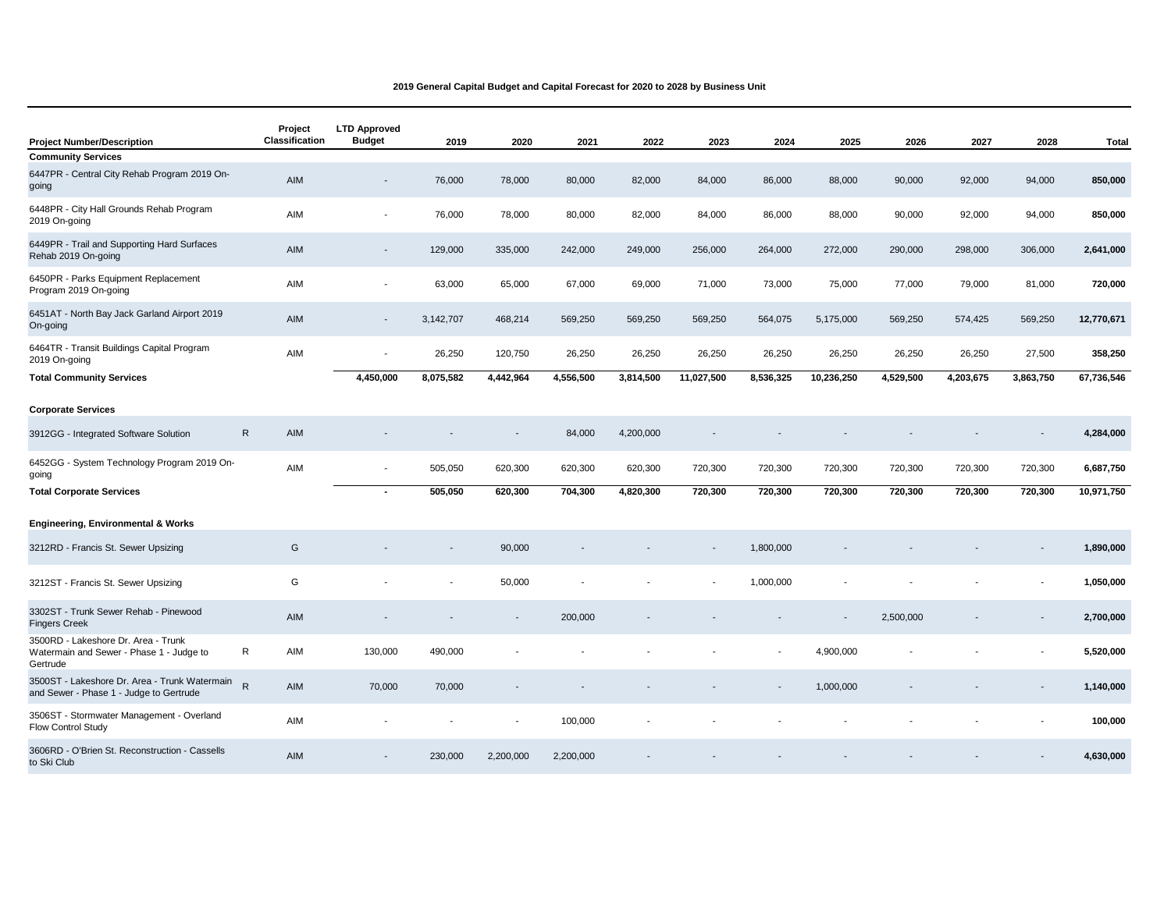| <b>Project Number/Description</b>                                                           | Project<br>Classification | <b>LTD Approved</b><br><b>Budget</b> | 2019      | 2020      | 2021      | 2022      | 2023                     | 2024      | 2025       | 2026      | 2027      | 2028                     | <b>Total</b> |
|---------------------------------------------------------------------------------------------|---------------------------|--------------------------------------|-----------|-----------|-----------|-----------|--------------------------|-----------|------------|-----------|-----------|--------------------------|--------------|
| <b>Community Services</b>                                                                   |                           |                                      |           |           |           |           |                          |           |            |           |           |                          |              |
| 6447PR - Central City Rehab Program 2019 On-<br>going                                       | AIM                       | $\overline{\phantom{a}}$             | 76,000    | 78,000    | 80,000    | 82,000    | 84,000                   | 86,000    | 88,000     | 90,000    | 92,000    | 94,000                   | 850,000      |
| 6448PR - City Hall Grounds Rehab Program<br>2019 On-going                                   | AIM                       | $\overline{\phantom{a}}$             | 76,000    | 78,000    | 80,000    | 82,000    | 84,000                   | 86,000    | 88,000     | 90,000    | 92,000    | 94,000                   | 850,000      |
| 6449PR - Trail and Supporting Hard Surfaces<br>Rehab 2019 On-going                          | AIM                       | $\overline{\phantom{a}}$             | 129,000   | 335,000   | 242,000   | 249,000   | 256,000                  | 264,000   | 272,000    | 290,000   | 298,000   | 306,000                  | 2,641,000    |
| 6450PR - Parks Equipment Replacement<br>Program 2019 On-going                               | AIM                       | $\overline{\phantom{a}}$             | 63,000    | 65,000    | 67,000    | 69,000    | 71,000                   | 73,000    | 75,000     | 77,000    | 79,000    | 81,000                   | 720,000      |
| 6451AT - North Bay Jack Garland Airport 2019<br>On-going                                    | <b>AIM</b>                | $\overline{\phantom{a}}$             | 3,142,707 | 468,214   | 569,250   | 569,250   | 569,250                  | 564,075   | 5,175,000  | 569,250   | 574,425   | 569,250                  | 12,770,671   |
| 6464TR - Transit Buildings Capital Program<br>2019 On-going                                 | AIM                       | $\blacksquare$                       | 26,250    | 120,750   | 26,250    | 26,250    | 26,250                   | 26,250    | 26,250     | 26,250    | 26,250    | 27,500                   | 358,250      |
| <b>Total Community Services</b>                                                             |                           | 4,450,000                            | 8,075,582 | 4,442,964 | 4,556,500 | 3,814,500 | 11,027,500               | 8,536,325 | 10,236,250 | 4,529,500 | 4,203,675 | 3,863,750                | 67,736,546   |
| <b>Corporate Services</b>                                                                   |                           |                                      |           |           |           |           |                          |           |            |           |           |                          |              |
| 3912GG - Integrated Software Solution                                                       | ${\sf R}$<br>AIM          |                                      |           |           | 84,000    | 4,200,000 |                          |           |            |           |           |                          | 4,284,000    |
| 6452GG - System Technology Program 2019 On-<br>going                                        | AIM                       | $\blacksquare$                       | 505,050   | 620,300   | 620,300   | 620,300   | 720,300                  | 720,300   | 720,300    | 720,300   | 720,300   | 720,300                  | 6,687,750    |
| <b>Total Corporate Services</b>                                                             |                           | $\blacksquare$                       | 505,050   | 620,300   | 704,300   | 4,820,300 | 720,300                  | 720,300   | 720,300    | 720,300   | 720,300   | 720,300                  | 10,971,750   |
|                                                                                             |                           |                                      |           |           |           |           |                          |           |            |           |           |                          |              |
| <b>Engineering, Environmental &amp; Works</b>                                               |                           |                                      |           |           |           |           |                          |           |            |           |           |                          |              |
| 3212RD - Francis St. Sewer Upsizing                                                         | G                         |                                      |           | 90,000    |           |           | $\overline{\phantom{a}}$ | 1,800,000 |            |           |           |                          | 1,890,000    |
| 3212ST - Francis St. Sewer Upsizing                                                         | G                         |                                      |           | 50,000    |           |           |                          | 1,000,000 |            |           |           |                          | 1,050,000    |
| 3302ST - Trunk Sewer Rehab - Pinewood<br><b>Fingers Creek</b>                               | <b>AIM</b>                |                                      |           |           | 200,000   |           |                          |           |            | 2,500,000 |           | $\overline{\phantom{a}}$ | 2,700,000    |
| 3500RD - Lakeshore Dr. Area - Trunk<br>Watermain and Sewer - Phase 1 - Judge to<br>Gertrude | $\mathsf{R}$<br>AIM       | 130,000                              | 490,000   |           |           |           |                          |           | 4,900,000  |           |           |                          | 5,520,000    |
| 3500ST - Lakeshore Dr. Area - Trunk Watermain<br>and Sewer - Phase 1 - Judge to Gertrude    | $\mathsf{R}$<br>AIM       | 70,000                               | 70,000    |           |           |           |                          |           | 1,000,000  |           |           |                          | 1,140,000    |
| 3506ST - Stormwater Management - Overland<br><b>Flow Control Study</b>                      | AIM                       | ٠                                    |           |           | 100,000   |           |                          |           |            |           |           |                          | 100,000      |
| 3606RD - O'Brien St. Reconstruction - Cassells<br>to Ski Club                               | AIM                       |                                      | 230,000   | 2,200,000 | 2,200,000 |           |                          |           |            |           |           |                          | 4,630,000    |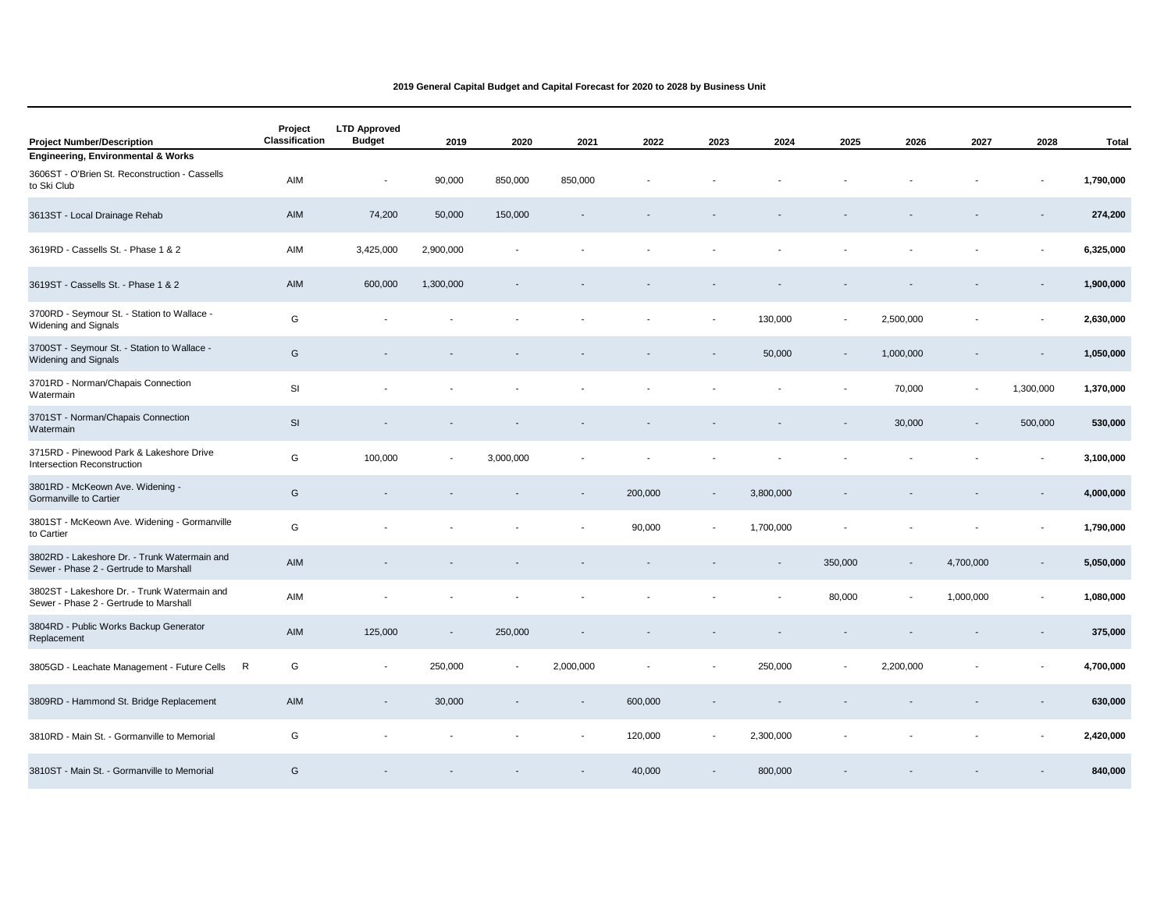| <b>Project Number/Description</b>                                                      | Project<br>Classification | <b>LTD Approved</b><br><b>Budget</b> | 2019                     | 2020      | 2021      | 2022    | 2023                     | 2024      | 2025                     | 2026      | 2027      | 2028                     | <b>Total</b> |
|----------------------------------------------------------------------------------------|---------------------------|--------------------------------------|--------------------------|-----------|-----------|---------|--------------------------|-----------|--------------------------|-----------|-----------|--------------------------|--------------|
| <b>Engineering, Environmental &amp; Works</b>                                          |                           |                                      |                          |           |           |         |                          |           |                          |           |           |                          |              |
| 3606ST - O'Brien St. Reconstruction - Cassells<br>to Ski Club                          | AIM                       | $\overline{\phantom{a}}$             | 90,000                   | 850,000   | 850,000   |         |                          |           |                          |           |           |                          | 1,790,000    |
| 3613ST - Local Drainage Rehab                                                          | AIM                       | 74,200                               | 50,000                   | 150,000   |           |         |                          |           |                          |           |           |                          | 274,200      |
| 3619RD - Cassells St. - Phase 1 & 2                                                    | AIM                       | 3,425,000                            | 2,900,000                |           |           |         |                          |           |                          |           |           |                          | 6,325,000    |
| 3619ST - Cassells St. - Phase 1 & 2                                                    | AIM                       | 600,000                              | 1,300,000                |           |           |         |                          |           |                          |           |           |                          | 1,900,000    |
| 3700RD - Seymour St. - Station to Wallace -<br>Widening and Signals                    | G                         |                                      |                          |           |           |         |                          | 130,000   | $\overline{a}$           | 2,500,000 |           |                          | 2,630,000    |
| 3700ST - Seymour St. - Station to Wallace -<br>Widening and Signals                    | G                         |                                      |                          |           |           |         |                          | 50,000    | $\overline{\phantom{a}}$ | 1,000,000 |           | $\overline{\phantom{a}}$ | 1,050,000    |
| 3701RD - Norman/Chapais Connection<br>Watermain                                        | SI                        |                                      |                          |           |           |         |                          |           |                          | 70,000    | $\sim$    | 1,300,000                | 1,370,000    |
| 3701ST - Norman/Chapais Connection<br>Watermain                                        | SI                        |                                      |                          |           |           |         |                          |           |                          | 30,000    |           | 500,000                  | 530,000      |
| 3715RD - Pinewood Park & Lakeshore Drive<br>Intersection Reconstruction                | G                         | 100,000                              | $\overline{\phantom{a}}$ | 3,000,000 |           |         |                          |           |                          |           |           |                          | 3,100,000    |
| 3801RD - McKeown Ave. Widening -<br>Gormanville to Cartier                             | G                         |                                      |                          |           |           | 200,000 | $\overline{\phantom{a}}$ | 3,800,000 |                          |           |           |                          | 4,000,000    |
| 3801ST - McKeown Ave. Widening - Gormanville<br>to Cartier                             | G                         |                                      |                          |           |           | 90,000  |                          | 1,700,000 |                          |           |           |                          | 1,790,000    |
| 3802RD - Lakeshore Dr. - Trunk Watermain and<br>Sewer - Phase 2 - Gertrude to Marshall | AIM                       |                                      |                          |           |           |         |                          |           | 350,000                  |           | 4,700,000 |                          | 5,050,000    |
| 3802ST - Lakeshore Dr. - Trunk Watermain and<br>Sewer - Phase 2 - Gertrude to Marshall | AIM                       |                                      |                          |           |           |         |                          |           | 80,000                   |           | 1,000,000 |                          | 1,080,000    |
| 3804RD - Public Works Backup Generator<br>Replacement                                  | AIM                       | 125,000                              |                          | 250,000   |           |         |                          |           |                          |           |           |                          | 375,000      |
| 3805GD - Leachate Management - Future Cells                                            | G<br>R                    | $\overline{\phantom{a}}$             | 250,000                  |           | 2,000,000 |         |                          | 250,000   | $\blacksquare$           | 2,200,000 |           |                          | 4,700,000    |
| 3809RD - Hammond St. Bridge Replacement                                                | AIM                       | $\overline{\phantom{a}}$             | 30,000                   |           |           | 600,000 |                          |           |                          |           |           |                          | 630,000      |
| 3810RD - Main St. - Gormanville to Memorial                                            | G                         |                                      |                          |           |           | 120,000 | $\overline{\phantom{a}}$ | 2,300,000 |                          |           |           |                          | 2,420,000    |
| 3810ST - Main St. - Gormanville to Memorial                                            | G                         |                                      |                          |           |           | 40,000  |                          | 800,000   |                          |           |           |                          | 840,000      |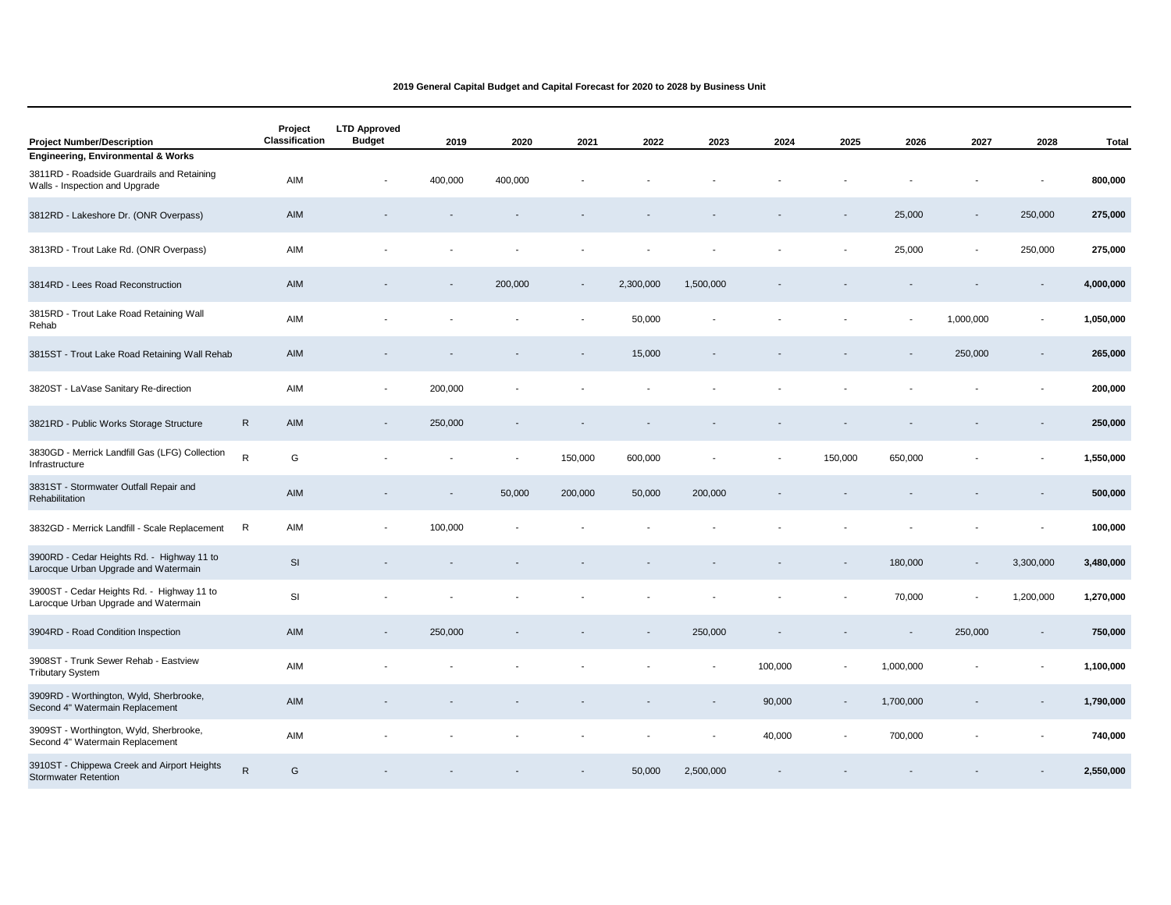| <b>Project Number/Description</b>                                                  | Project<br>Classification | <b>LTD Approved</b><br><b>Budget</b> | 2019                     | 2020    | 2021                     | 2022      | 2023           | 2024    | 2025                     | 2026      | 2027                     | 2028      | <b>Total</b> |
|------------------------------------------------------------------------------------|---------------------------|--------------------------------------|--------------------------|---------|--------------------------|-----------|----------------|---------|--------------------------|-----------|--------------------------|-----------|--------------|
| <b>Engineering, Environmental &amp; Works</b>                                      |                           |                                      |                          |         |                          |           |                |         |                          |           |                          |           |              |
| 3811RD - Roadside Guardrails and Retaining<br>Walls - Inspection and Upgrade       | AIM                       |                                      | 400,000                  | 400,000 |                          |           |                |         |                          |           |                          |           | 800,000      |
| 3812RD - Lakeshore Dr. (ONR Overpass)                                              | AIM                       |                                      |                          |         |                          |           |                |         |                          | 25,000    | $\overline{\phantom{a}}$ | 250,000   | 275,000      |
| 3813RD - Trout Lake Rd. (ONR Overpass)                                             | AIM                       |                                      |                          |         |                          |           |                |         |                          | 25,000    |                          | 250,000   | 275,000      |
| 3814RD - Lees Road Reconstruction                                                  | AIM                       |                                      |                          | 200,000 | $\overline{\phantom{a}}$ | 2,300,000 | 1,500,000      |         |                          |           |                          |           | 4,000,000    |
| 3815RD - Trout Lake Road Retaining Wall<br>Rehab                                   | AIM                       |                                      |                          |         |                          | 50,000    |                |         |                          |           | 1,000,000                |           | 1,050,000    |
| 3815ST - Trout Lake Road Retaining Wall Rehab                                      | AIM                       |                                      |                          |         |                          | 15,000    |                |         |                          |           | 250,000                  |           | 265,000      |
| 3820ST - LaVase Sanitary Re-direction                                              | AIM                       | $\blacksquare$                       | 200,000                  |         |                          |           |                |         |                          |           |                          |           | 200,000      |
| 3821RD - Public Works Storage Structure                                            | $\mathsf{R}$<br>AIM       | $\blacksquare$                       | 250,000                  |         |                          |           |                |         |                          |           |                          |           | 250,000      |
| 3830GD - Merrick Landfill Gas (LFG) Collection<br>Infrastructure                   | ${\sf R}$<br>G            |                                      |                          |         | 150,000                  | 600,000   |                |         | 150,000                  | 650,000   |                          |           | 1,550,000    |
| 3831ST - Stormwater Outfall Repair and<br>Rehabilitation                           | AIM                       |                                      | $\overline{\phantom{a}}$ | 50,000  | 200,000                  | 50,000    | 200,000        |         |                          |           |                          |           | 500,000      |
| 3832GD - Merrick Landfill - Scale Replacement                                      | $\mathsf R$<br>AIM        |                                      | 100,000                  |         |                          |           |                |         |                          |           |                          |           | 100,000      |
| 3900RD - Cedar Heights Rd. - Highway 11 to<br>Larocque Urban Upgrade and Watermain | SI                        |                                      |                          |         |                          |           |                |         |                          | 180,000   | $\overline{\phantom{a}}$ | 3,300,000 | 3,480,000    |
| 3900ST - Cedar Heights Rd. - Highway 11 to<br>Larocque Urban Upgrade and Watermain | SI                        |                                      |                          |         |                          |           |                |         |                          | 70,000    | $\blacksquare$           | 1,200,000 | 1,270,000    |
| 3904RD - Road Condition Inspection                                                 | AIM                       | $\overline{\phantom{a}}$             | 250,000                  |         |                          |           | 250,000        |         |                          |           | 250,000                  |           | 750,000      |
| 3908ST - Trunk Sewer Rehab - Eastview<br><b>Tributary System</b>                   | AIM                       |                                      |                          |         |                          |           |                | 100,000 |                          | 1,000,000 |                          |           | 1,100,000    |
| 3909RD - Worthington, Wyld, Sherbrooke,<br>Second 4" Watermain Replacement         | AIM                       |                                      |                          |         |                          |           |                | 90,000  | $\overline{\phantom{a}}$ | 1,700,000 |                          |           | 1,790,000    |
| 3909ST - Worthington, Wyld, Sherbrooke,<br>Second 4" Watermain Replacement         | AIM                       |                                      |                          |         |                          |           | $\overline{a}$ | 40,000  |                          | 700,000   |                          |           | 740,000      |
| 3910ST - Chippewa Creek and Airport Heights<br><b>Stormwater Retention</b>         | ${\sf R}$<br>G            |                                      |                          |         |                          | 50,000    | 2,500,000      |         |                          |           |                          |           | 2,550,000    |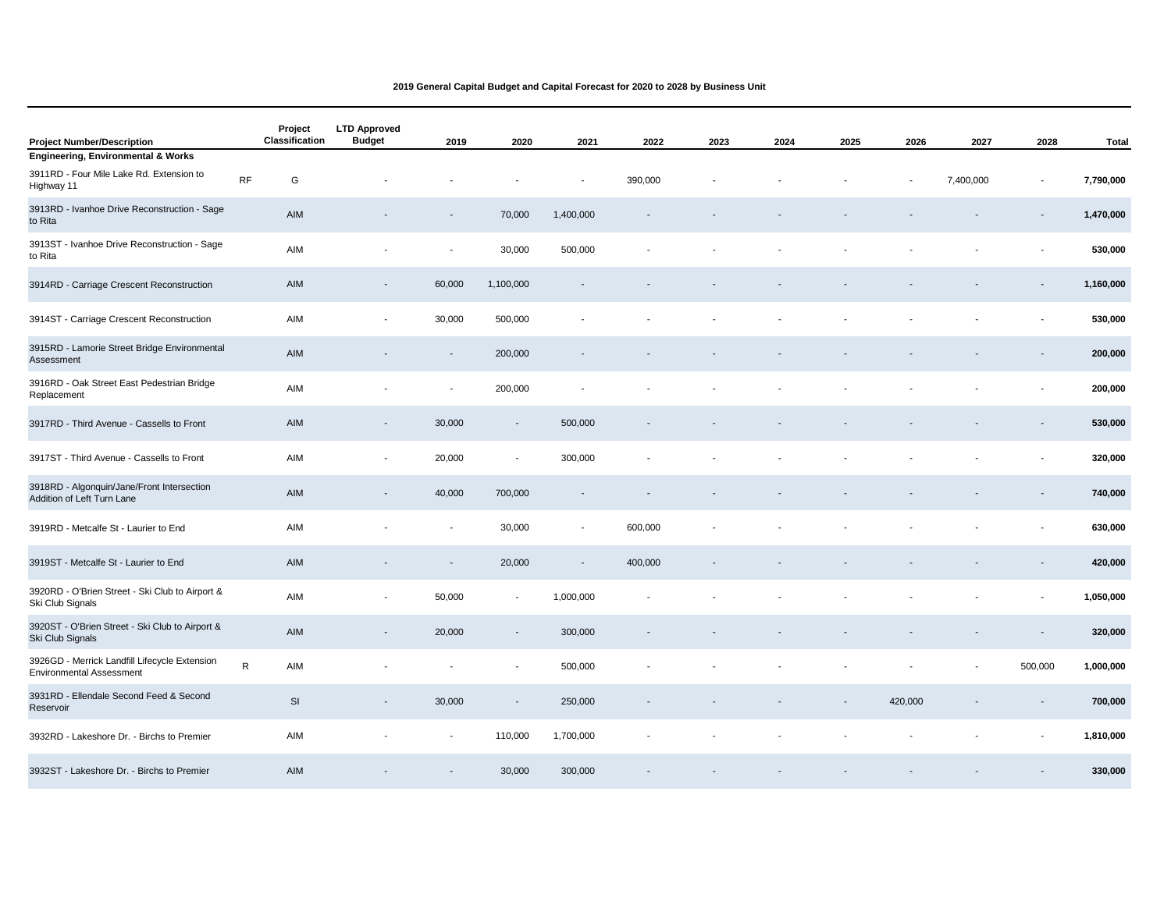| <b>Project Number/Description</b>                                                |           | Project<br>Classification | <b>LTD Approved</b><br><b>Budget</b> | 2019                     | 2020                     | 2021                     | 2022    | 2023 | 2024 | 2025 | 2026    | 2027      | 2028    | <b>Total</b> |
|----------------------------------------------------------------------------------|-----------|---------------------------|--------------------------------------|--------------------------|--------------------------|--------------------------|---------|------|------|------|---------|-----------|---------|--------------|
| <b>Engineering, Environmental &amp; Works</b>                                    |           |                           |                                      |                          |                          |                          |         |      |      |      |         |           |         |              |
| 3911RD - Four Mile Lake Rd. Extension to<br>Highway 11                           | RF        | G                         |                                      |                          |                          |                          | 390,000 |      |      |      |         | 7,400,000 |         | 7,790,000    |
| 3913RD - Ivanhoe Drive Reconstruction - Sage<br>to Rita                          |           | AIM                       |                                      |                          | 70,000                   | 1,400,000                |         |      |      |      |         |           |         | 1,470,000    |
| 3913ST - Ivanhoe Drive Reconstruction - Sage<br>to Rita                          |           | AIM                       |                                      | $\overline{\phantom{a}}$ | 30,000                   | 500,000                  |         |      |      |      |         |           |         | 530,000      |
| 3914RD - Carriage Crescent Reconstruction                                        |           | AIM                       | $\overline{\phantom{a}}$             | 60,000                   | 1,100,000                |                          |         |      |      |      |         |           |         | 1,160,000    |
| 3914ST - Carriage Crescent Reconstruction                                        |           | AIM                       | $\overline{\phantom{a}}$             | 30,000                   | 500,000                  |                          |         |      |      |      |         |           |         | 530,000      |
| 3915RD - Lamorie Street Bridge Environmental<br>Assessment                       |           | AIM                       |                                      | $\overline{\phantom{a}}$ | 200,000                  |                          |         |      |      |      |         |           |         | 200,000      |
| 3916RD - Oak Street East Pedestrian Bridge<br>Replacement                        |           | AIM                       |                                      | $\overline{\phantom{a}}$ | 200,000                  |                          |         |      |      |      |         |           |         | 200,000      |
| 3917RD - Third Avenue - Cassells to Front                                        |           | AIM                       | $\overline{\phantom{a}}$             | 30,000                   | $\overline{\phantom{a}}$ | 500,000                  |         |      |      |      |         |           |         | 530,000      |
| 3917ST - Third Avenue - Cassells to Front                                        |           | AIM                       | $\blacksquare$                       | 20,000                   | $\sim$                   | 300,000                  |         |      |      |      |         |           |         | 320,000      |
| 3918RD - Algonquin/Jane/Front Intersection<br>Addition of Left Turn Lane         |           | AIM                       | $\overline{\phantom{a}}$             | 40,000                   | 700,000                  | $\overline{\phantom{a}}$ |         |      |      |      |         |           |         | 740,000      |
| 3919RD - Metcalfe St - Laurier to End                                            |           | AIM                       |                                      | $\overline{\phantom{a}}$ | 30,000                   | $\overline{\phantom{a}}$ | 600,000 |      |      |      |         |           |         | 630,000      |
| 3919ST - Metcalfe St - Laurier to End                                            |           | AIM                       |                                      |                          | 20,000                   |                          | 400,000 |      |      |      |         |           |         | 420,000      |
| 3920RD - O'Brien Street - Ski Club to Airport &<br>Ski Club Signals              |           | AIM                       | $\blacksquare$                       | 50,000                   |                          | 1,000,000                |         |      |      |      |         |           |         | 1,050,000    |
| 3920ST - O'Brien Street - Ski Club to Airport &<br>Ski Club Signals              |           | AIM                       |                                      | 20,000                   |                          | 300,000                  |         |      |      |      |         |           |         | 320,000      |
| 3926GD - Merrick Landfill Lifecycle Extension<br><b>Environmental Assessment</b> | ${\sf R}$ | AIM                       |                                      |                          |                          | 500,000                  |         |      |      |      |         |           | 500,000 | 1,000,000    |
| 3931RD - Ellendale Second Feed & Second<br>Reservoir                             |           | SI                        | $\blacksquare$                       | 30,000                   |                          | 250,000                  |         |      |      |      | 420,000 |           |         | 700,000      |
| 3932RD - Lakeshore Dr. - Birchs to Premier                                       |           | AIM                       |                                      | $\blacksquare$           | 110,000                  | 1,700,000                |         |      |      |      |         |           |         | 1,810,000    |
| 3932ST - Lakeshore Dr. - Birchs to Premier                                       |           | AIM                       |                                      |                          | 30,000                   | 300,000                  |         |      |      |      |         |           |         | 330,000      |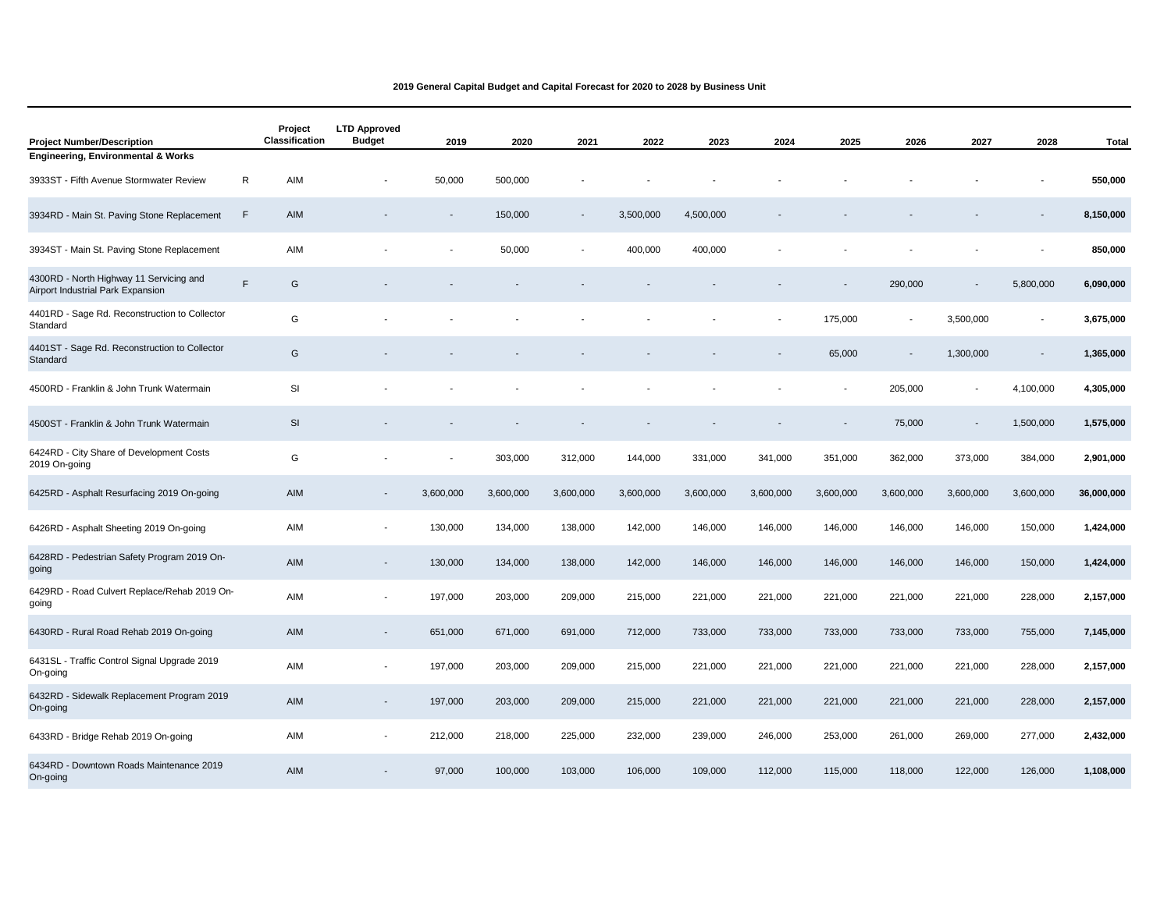| <b>Project Number/Description</b>                                            |   | Project<br>Classification | <b>LTD Approved</b><br><b>Budget</b> | 2019      | 2020      | 2021      | 2022      | 2023      | 2024      | 2025      | 2026                     | 2027                     | 2028      | <b>Total</b> |
|------------------------------------------------------------------------------|---|---------------------------|--------------------------------------|-----------|-----------|-----------|-----------|-----------|-----------|-----------|--------------------------|--------------------------|-----------|--------------|
| <b>Engineering, Environmental &amp; Works</b>                                |   |                           |                                      |           |           |           |           |           |           |           |                          |                          |           |              |
| 3933ST - Fifth Avenue Stormwater Review                                      | R | AIM                       |                                      | 50,000    | 500,000   |           |           |           |           |           |                          |                          |           | 550,000      |
| 3934RD - Main St. Paving Stone Replacement                                   | F | AIM                       |                                      |           | 150,000   |           | 3,500,000 | 4,500,000 |           |           |                          |                          |           | 8,150,000    |
| 3934ST - Main St. Paving Stone Replacement                                   |   | AIM                       |                                      |           | 50,000    |           | 400,000   | 400,000   |           |           |                          |                          |           | 850,000      |
| 4300RD - North Highway 11 Servicing and<br>Airport Industrial Park Expansion | F | G                         |                                      |           |           |           |           |           |           |           | 290,000                  | $\blacksquare$           | 5,800,000 | 6,090,000    |
| 4401RD - Sage Rd. Reconstruction to Collector<br>Standard                    |   | G                         |                                      |           |           |           |           |           |           | 175,000   |                          | 3,500,000                |           | 3,675,000    |
| 4401ST - Sage Rd. Reconstruction to Collector<br>Standard                    |   | G                         |                                      |           |           |           |           |           |           | 65,000    | $\overline{\phantom{a}}$ | 1,300,000                |           | 1,365,000    |
| 4500RD - Franklin & John Trunk Watermain                                     |   | SI                        |                                      |           |           |           |           |           |           |           | 205,000                  | $\overline{\phantom{a}}$ | 4,100,000 | 4,305,000    |
| 4500ST - Franklin & John Trunk Watermain                                     |   | SI                        |                                      |           |           |           |           |           |           |           | 75,000                   | $\overline{\phantom{a}}$ | 1,500,000 | 1,575,000    |
| 6424RD - City Share of Development Costs<br>2019 On-going                    |   | G                         |                                      |           | 303,000   | 312,000   | 144,000   | 331,000   | 341,000   | 351,000   | 362,000                  | 373,000                  | 384,000   | 2,901,000    |
| 6425RD - Asphalt Resurfacing 2019 On-going                                   |   | AIM                       | $\overline{\phantom{a}}$             | 3,600,000 | 3,600,000 | 3,600,000 | 3,600,000 | 3,600,000 | 3,600,000 | 3,600,000 | 3,600,000                | 3,600,000                | 3,600,000 | 36,000,000   |
| 6426RD - Asphalt Sheeting 2019 On-going                                      |   | AIM                       | $\blacksquare$                       | 130,000   | 134,000   | 138,000   | 142,000   | 146,000   | 146,000   | 146,000   | 146,000                  | 146,000                  | 150,000   | 1,424,000    |
| 6428RD - Pedestrian Safety Program 2019 On-<br>going                         |   | AIM                       | $\overline{\phantom{a}}$             | 130,000   | 134,000   | 138,000   | 142,000   | 146,000   | 146,000   | 146,000   | 146,000                  | 146,000                  | 150,000   | 1,424,000    |
| 6429RD - Road Culvert Replace/Rehab 2019 On-<br>going                        |   | AIM                       | $\blacksquare$                       | 197,000   | 203,000   | 209,000   | 215,000   | 221,000   | 221,000   | 221,000   | 221,000                  | 221,000                  | 228,000   | 2,157,000    |
| 6430RD - Rural Road Rehab 2019 On-going                                      |   | AIM                       |                                      | 651,000   | 671,000   | 691,000   | 712,000   | 733,000   | 733,000   | 733,000   | 733,000                  | 733,000                  | 755,000   | 7,145,000    |
| 6431SL - Traffic Control Signal Upgrade 2019<br>On-going                     |   | AIM                       | $\overline{\phantom{a}}$             | 197,000   | 203,000   | 209,000   | 215,000   | 221,000   | 221,000   | 221,000   | 221,000                  | 221,000                  | 228,000   | 2,157,000    |
| 6432RD - Sidewalk Replacement Program 2019<br>On-going                       |   | AIM                       | $\overline{\phantom{a}}$             | 197,000   | 203,000   | 209,000   | 215,000   | 221,000   | 221,000   | 221,000   | 221,000                  | 221,000                  | 228,000   | 2,157,000    |
| 6433RD - Bridge Rehab 2019 On-going                                          |   | AIM                       | $\overline{\phantom{a}}$             | 212,000   | 218,000   | 225,000   | 232,000   | 239,000   | 246,000   | 253,000   | 261,000                  | 269,000                  | 277,000   | 2,432,000    |
| 6434RD - Downtown Roads Maintenance 2019<br>On-going                         |   | <b>AIM</b>                |                                      | 97,000    | 100,000   | 103,000   | 106,000   | 109,000   | 112,000   | 115,000   | 118,000                  | 122,000                  | 126,000   | 1,108,000    |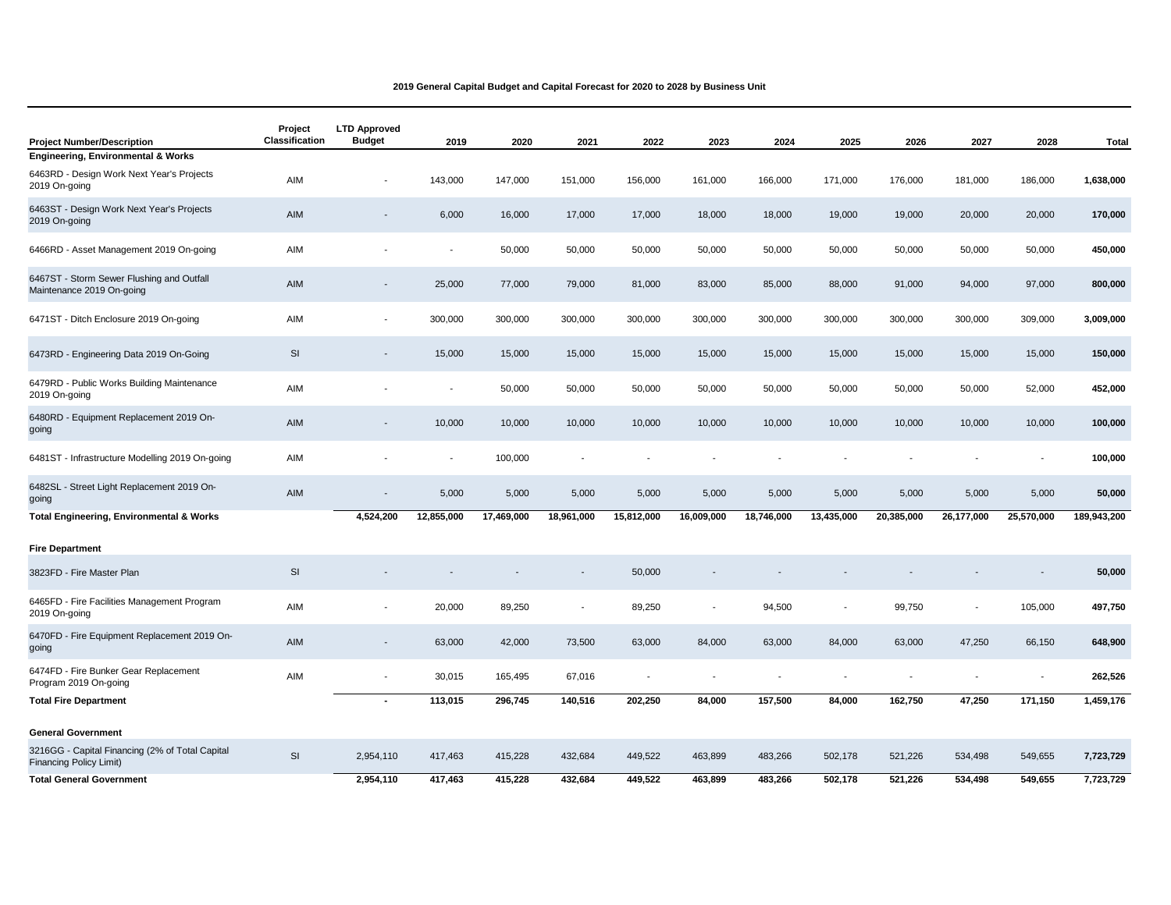| <b>Project Number/Description</b>                                                 | Project<br>Classification | <b>LTD Approved</b><br><b>Budget</b> | 2019                     | 2020       | 2021       | 2022                     | 2023                     | 2024       | 2025       | 2026       | 2027           | 2028           | <b>Total</b> |
|-----------------------------------------------------------------------------------|---------------------------|--------------------------------------|--------------------------|------------|------------|--------------------------|--------------------------|------------|------------|------------|----------------|----------------|--------------|
| <b>Engineering, Environmental &amp; Works</b>                                     |                           |                                      |                          |            |            |                          |                          |            |            |            |                |                |              |
| 6463RD - Design Work Next Year's Projects<br>2019 On-going                        | AIM                       |                                      | 143,000                  | 147,000    | 151,000    | 156,000                  | 161,000                  | 166,000    | 171,000    | 176,000    | 181,000        | 186,000        | 1,638,000    |
| 6463ST - Design Work Next Year's Projects<br>2019 On-going                        | AIM                       | $\overline{\phantom{a}}$             | 6,000                    | 16,000     | 17,000     | 17,000                   | 18,000                   | 18,000     | 19,000     | 19,000     | 20,000         | 20,000         | 170,000      |
| 6466RD - Asset Management 2019 On-going                                           | AIM                       |                                      | $\overline{a}$           | 50,000     | 50,000     | 50,000                   | 50,000                   | 50,000     | 50,000     | 50,000     | 50,000         | 50,000         | 450,000      |
| 6467ST - Storm Sewer Flushing and Outfall<br>Maintenance 2019 On-going            | AIM                       | $\overline{\phantom{a}}$             | 25,000                   | 77,000     | 79,000     | 81,000                   | 83,000                   | 85,000     | 88,000     | 91,000     | 94,000         | 97,000         | 800,000      |
| 6471ST - Ditch Enclosure 2019 On-going                                            | AIM                       | $\overline{\phantom{a}}$             | 300,000                  | 300,000    | 300,000    | 300,000                  | 300,000                  | 300,000    | 300,000    | 300,000    | 300,000        | 309,000        | 3,009,000    |
| 6473RD - Engineering Data 2019 On-Going                                           | SI                        | $\blacksquare$                       | 15,000                   | 15,000     | 15,000     | 15,000                   | 15,000                   | 15,000     | 15,000     | 15,000     | 15,000         | 15,000         | 150,000      |
| 6479RD - Public Works Building Maintenance<br>2019 On-going                       | AIM                       |                                      | $\overline{a}$           | 50,000     | 50,000     | 50,000                   | 50,000                   | 50,000     | 50,000     | 50,000     | 50,000         | 52,000         | 452,000      |
| 6480RD - Equipment Replacement 2019 On-<br>going                                  | AIM                       |                                      | 10,000                   | 10,000     | 10,000     | 10,000                   | 10,000                   | 10,000     | 10,000     | 10,000     | 10,000         | 10,000         | 100,000      |
| 6481ST - Infrastructure Modelling 2019 On-going                                   | AIM                       |                                      | $\overline{\phantom{a}}$ | 100,000    |            |                          |                          |            |            |            |                |                | 100,000      |
| 6482SL - Street Light Replacement 2019 On-<br>going                               | AIM                       |                                      | 5,000                    | 5,000      | 5,000      | 5,000                    | 5,000                    | 5,000      | 5,000      | 5,000      | 5,000          | 5,000          | 50,000       |
| <b>Total Engineering, Environmental &amp; Works</b>                               |                           | 4,524,200                            | 12,855,000               | 17,469,000 | 18,961,000 | 15,812,000               | 16,009,000               | 18,746,000 | 13,435,000 | 20,385,000 | 26,177,000     | 25,570,000     | 189,943,200  |
| <b>Fire Department</b>                                                            |                           |                                      |                          |            |            |                          |                          |            |            |            |                |                |              |
| 3823FD - Fire Master Plan                                                         | SI                        |                                      |                          |            |            | 50,000                   |                          |            |            |            |                |                | 50,000       |
| 6465FD - Fire Facilities Management Program<br>2019 On-going                      | AIM                       |                                      | 20,000                   | 89,250     |            | 89,250                   | $\overline{\phantom{a}}$ | 94,500     |            | 99,750     | $\blacksquare$ | 105,000        | 497,750      |
| 6470FD - Fire Equipment Replacement 2019 On-<br>going                             | AIM                       | $\overline{\phantom{a}}$             | 63,000                   | 42,000     | 73,500     | 63,000                   | 84,000                   | 63,000     | 84,000     | 63,000     | 47,250         | 66,150         | 648,900      |
| 6474FD - Fire Bunker Gear Replacement<br>Program 2019 On-going                    | AIM                       | $\overline{\phantom{a}}$             | 30,015                   | 165,495    | 67,016     | $\overline{\phantom{a}}$ | $\overline{\phantom{a}}$ |            |            |            |                | $\overline{a}$ | 262,526      |
| <b>Total Fire Department</b>                                                      |                           |                                      | 113,015                  | 296,745    | 140,516    | 202,250                  | 84,000                   | 157,500    | 84,000     | 162,750    | 47,250         | 171,150        | 1,459,176    |
| <b>General Government</b>                                                         |                           |                                      |                          |            |            |                          |                          |            |            |            |                |                |              |
| 3216GG - Capital Financing (2% of Total Capital<br><b>Financing Policy Limit)</b> | SI                        | 2,954,110                            | 417,463                  | 415,228    | 432,684    | 449,522                  | 463,899                  | 483,266    | 502,178    | 521,226    | 534,498        | 549,655        | 7,723,729    |
| <b>Total General Government</b>                                                   |                           | 2,954,110                            | 417,463                  | 415,228    | 432,684    | 449,522                  | 463.899                  | 483,266    | 502,178    | 521,226    | 534,498        | 549,655        | 7,723,729    |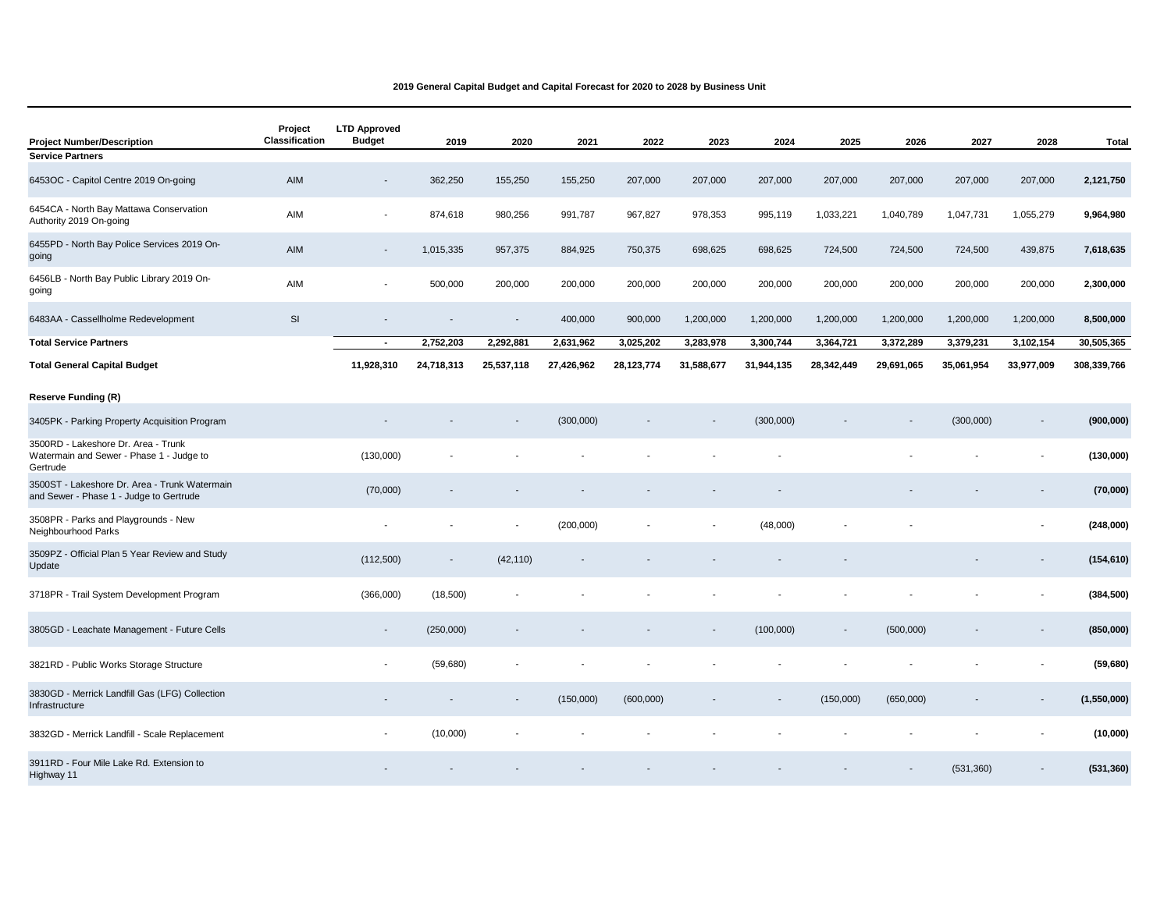| <b>Project Number/Description</b>                                                           | Project<br>Classification | <b>LTD Approved</b><br><b>Budget</b> | 2019       | 2020                     | 2021       | 2022       | 2023       | 2024                     | 2025           | 2026       | 2027       | 2028                     | <b>Total</b> |
|---------------------------------------------------------------------------------------------|---------------------------|--------------------------------------|------------|--------------------------|------------|------------|------------|--------------------------|----------------|------------|------------|--------------------------|--------------|
| <b>Service Partners</b>                                                                     |                           |                                      |            |                          |            |            |            |                          |                |            |            |                          |              |
| 6453OC - Capitol Centre 2019 On-going                                                       | AIM                       | $\overline{\phantom{a}}$             | 362,250    | 155,250                  | 155,250    | 207,000    | 207,000    | 207,000                  | 207,000        | 207,000    | 207,000    | 207,000                  | 2,121,750    |
| 6454CA - North Bay Mattawa Conservation<br>Authority 2019 On-going                          | AIM                       | $\overline{\phantom{a}}$             | 874,618    | 980,256                  | 991,787    | 967,827    | 978,353    | 995,119                  | 1,033,221      | 1,040,789  | 1,047,731  | 1,055,279                | 9,964,980    |
| 6455PD - North Bay Police Services 2019 On-<br>going                                        | AIM                       | $\overline{\phantom{a}}$             | 1,015,335  | 957,375                  | 884,925    | 750,375    | 698,625    | 698,625                  | 724,500        | 724,500    | 724,500    | 439,875                  | 7,618,635    |
| 6456LB - North Bay Public Library 2019 On-<br>going                                         | AIM                       | $\overline{\phantom{a}}$             | 500,000    | 200,000                  | 200,000    | 200,000    | 200,000    | 200,000                  | 200,000        | 200,000    | 200,000    | 200,000                  | 2,300,000    |
| 6483AA - Cassellholme Redevelopment                                                         | <b>SI</b>                 | $\blacksquare$                       |            | $\sim$                   | 400,000    | 900,000    | 1,200,000  | 1,200,000                | 1,200,000      | 1,200,000  | 1,200,000  | 1,200,000                | 8,500,000    |
| <b>Total Service Partners</b>                                                               |                           | $\sim$                               | 2,752,203  | 2,292,881                | 2,631,962  | 3,025,202  | 3,283,978  | 3,300,744                | 3,364,721      | 3,372,289  | 3,379,231  | 3,102,154                | 30,505,365   |
| <b>Total General Capital Budget</b>                                                         |                           | 11,928,310                           | 24,718,313 | 25,537,118               | 27,426,962 | 28,123,774 | 31,588,677 | 31,944,135               | 28,342,449     | 29,691,065 | 35,061,954 | 33,977,009               | 308,339,766  |
| <b>Reserve Funding (R)</b>                                                                  |                           |                                      |            |                          |            |            |            |                          |                |            |            |                          |              |
| 3405PK - Parking Property Acquisition Program                                               |                           |                                      |            |                          | (300,000)  |            |            | (300,000)                |                |            | (300,000)  | $\overline{\phantom{a}}$ | (900, 000)   |
| 3500RD - Lakeshore Dr. Area - Trunk<br>Watermain and Sewer - Phase 1 - Judge to<br>Gertrude |                           | (130,000)                            |            |                          |            |            |            |                          |                |            |            | $\overline{\phantom{a}}$ | (130,000)    |
| 3500ST - Lakeshore Dr. Area - Trunk Watermain<br>and Sewer - Phase 1 - Judge to Gertrude    |                           | (70,000)                             |            |                          |            |            |            |                          |                |            |            |                          | (70,000)     |
| 3508PR - Parks and Playgrounds - New<br>Neighbourhood Parks                                 |                           |                                      |            |                          | (200,000)  |            |            | (48,000)                 |                |            |            |                          | (248,000)    |
| 3509PZ - Official Plan 5 Year Review and Study<br>Update                                    |                           | (112,500)                            |            | (42, 110)                |            |            |            |                          |                |            |            |                          | (154, 610)   |
| 3718PR - Trail System Development Program                                                   |                           | (366,000)                            | (18,500)   |                          |            |            |            |                          |                |            |            |                          | (384, 500)   |
| 3805GD - Leachate Management - Future Cells                                                 |                           | $\overline{\phantom{a}}$             | (250,000)  |                          |            |            |            | (100,000)                | $\blacksquare$ | (500,000)  |            |                          | (850,000)    |
| 3821RD - Public Works Storage Structure                                                     |                           | $\blacksquare$                       | (59,680)   |                          |            |            |            |                          |                |            |            |                          | (59, 680)    |
| 3830GD - Merrick Landfill Gas (LFG) Collection<br>Infrastructure                            |                           | $\overline{\phantom{a}}$             |            | $\overline{\phantom{a}}$ | (150,000)  | (600,000)  |            | $\overline{\phantom{a}}$ | (150,000)      | (650,000)  |            | $\overline{\phantom{a}}$ | (1,550,000)  |
| 3832GD - Merrick Landfill - Scale Replacement                                               |                           | $\blacksquare$                       | (10,000)   |                          |            |            |            |                          |                |            |            |                          | (10,000)     |
| 3911RD - Four Mile Lake Rd. Extension to<br>Highway 11                                      |                           |                                      |            |                          |            |            |            |                          |                |            | (531, 360) |                          | (531, 360)   |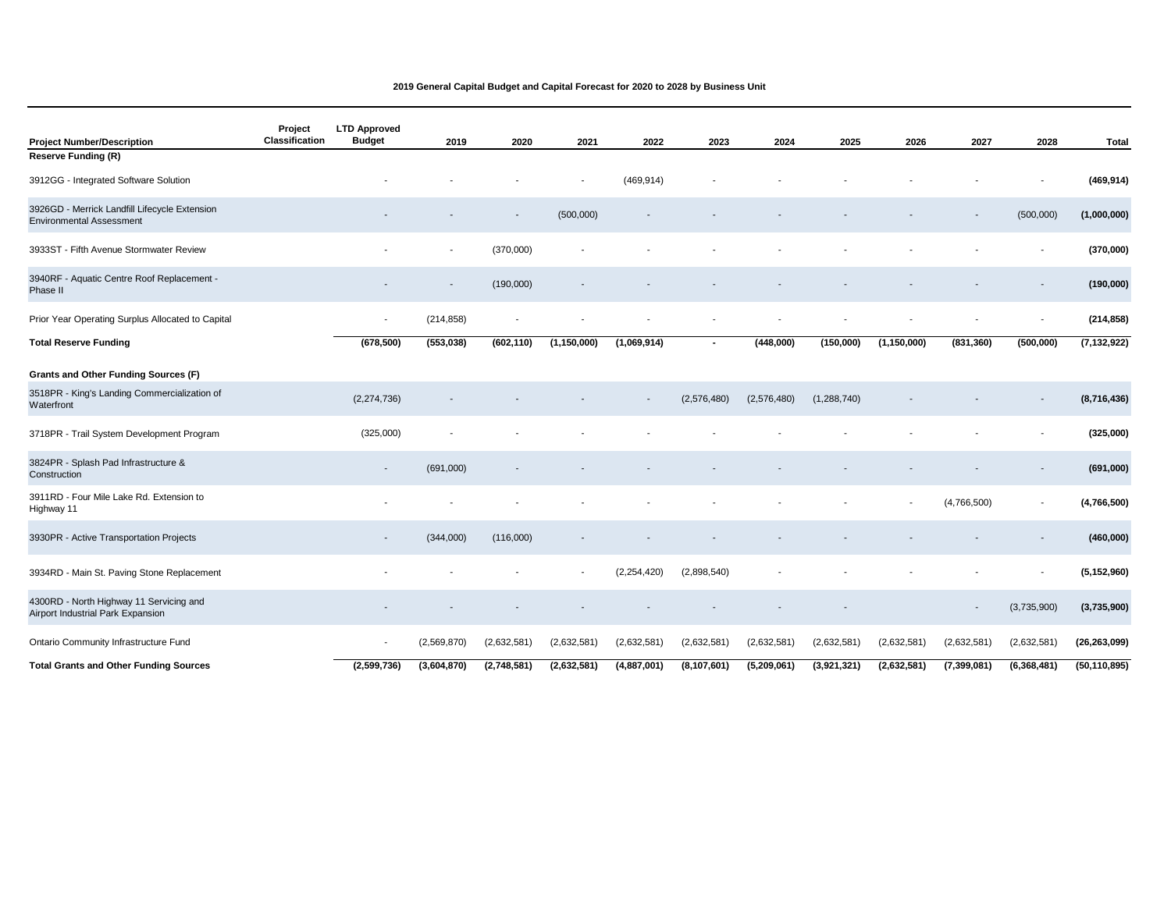| <b>Project Number/Description</b>                                                | Project<br>Classification | <b>LTD Approved</b><br><b>Budget</b> | 2019        | 2020        | 2021                     | 2022                     | 2023           | 2024        | 2025        | 2026          | 2027        | 2028                     | <b>Total</b>   |
|----------------------------------------------------------------------------------|---------------------------|--------------------------------------|-------------|-------------|--------------------------|--------------------------|----------------|-------------|-------------|---------------|-------------|--------------------------|----------------|
| <b>Reserve Funding (R)</b>                                                       |                           |                                      |             |             |                          |                          |                |             |             |               |             |                          |                |
| 3912GG - Integrated Software Solution                                            |                           |                                      |             |             |                          | (469, 914)               |                |             |             |               |             |                          | (469, 914)     |
| 3926GD - Merrick Landfill Lifecycle Extension<br><b>Environmental Assessment</b> |                           |                                      |             |             | (500,000)                | $\overline{\phantom{a}}$ |                |             |             |               |             | (500,000)                | (1,000,000)    |
| 3933ST - Fifth Avenue Stormwater Review                                          |                           |                                      |             | (370,000)   |                          |                          |                |             |             |               |             |                          | (370,000)      |
| 3940RF - Aquatic Centre Roof Replacement -<br>Phase II                           |                           |                                      |             | (190,000)   |                          |                          |                |             |             |               |             |                          | (190,000)      |
| Prior Year Operating Surplus Allocated to Capital                                |                           | $\overline{\phantom{a}}$             | (214, 858)  |             |                          |                          |                |             |             |               |             | $\overline{\phantom{a}}$ | (214, 858)     |
| <b>Total Reserve Funding</b>                                                     |                           | (678, 500)                           | (553,038)   | (602, 110)  | (1, 150, 000)            | (1,069,914)              | $\blacksquare$ | (448,000)   | (150,000)   | (1, 150, 000) | (831, 360)  | (500,000)                | (7, 132, 922)  |
| Grants and Other Funding Sources (F)                                             |                           |                                      |             |             |                          |                          |                |             |             |               |             |                          |                |
| 3518PR - King's Landing Commercialization of<br>Waterfront                       |                           | (2,274,736)                          |             |             |                          |                          | (2,576,480)    | (2,576,480) | (1,288,740) |               |             |                          | (8,716,436)    |
| 3718PR - Trail System Development Program                                        |                           | (325,000)                            |             |             |                          |                          |                |             |             |               |             |                          | (325,000)      |
| 3824PR - Splash Pad Infrastructure &<br>Construction                             |                           | $\overline{\phantom{a}}$             | (691,000)   |             |                          |                          |                |             |             |               |             |                          | (691,000)      |
| 3911RD - Four Mile Lake Rd. Extension to<br>Highway 11                           |                           |                                      |             |             |                          |                          |                |             |             |               | (4,766,500) |                          | (4,766,500)    |
| 3930PR - Active Transportation Projects                                          |                           | $\overline{\phantom{a}}$             | (344,000)   | (116,000)   |                          |                          |                |             |             |               |             |                          | (460,000)      |
| 3934RD - Main St. Paving Stone Replacement                                       |                           |                                      |             |             | $\overline{\phantom{a}}$ | (2, 254, 420)            | (2,898,540)    |             |             |               |             | $\overline{\phantom{a}}$ | (5, 152, 960)  |
| 4300RD - North Highway 11 Servicing and<br>Airport Industrial Park Expansion     |                           |                                      |             |             |                          |                          |                |             |             |               |             | (3,735,900)              | (3,735,900)    |
| Ontario Community Infrastructure Fund                                            |                           | $\overline{\phantom{a}}$             | (2,569,870) | (2,632,581) | (2,632,581)              | (2,632,581)              | (2,632,581)    | (2,632,581) | (2,632,581) | (2,632,581)   | (2,632,581) | (2,632,581)              | (26, 263, 099) |
| <b>Total Grants and Other Funding Sources</b>                                    |                           | (2,599,736)                          | (3,604,870) | (2,748,581) | (2,632,581)              | (4,887,001)              | (8, 107, 601)  | (5,209,061) | (3,921,321) | (2,632,581)   | (7,399,081) | (6,368,481)              | (50, 110, 895) |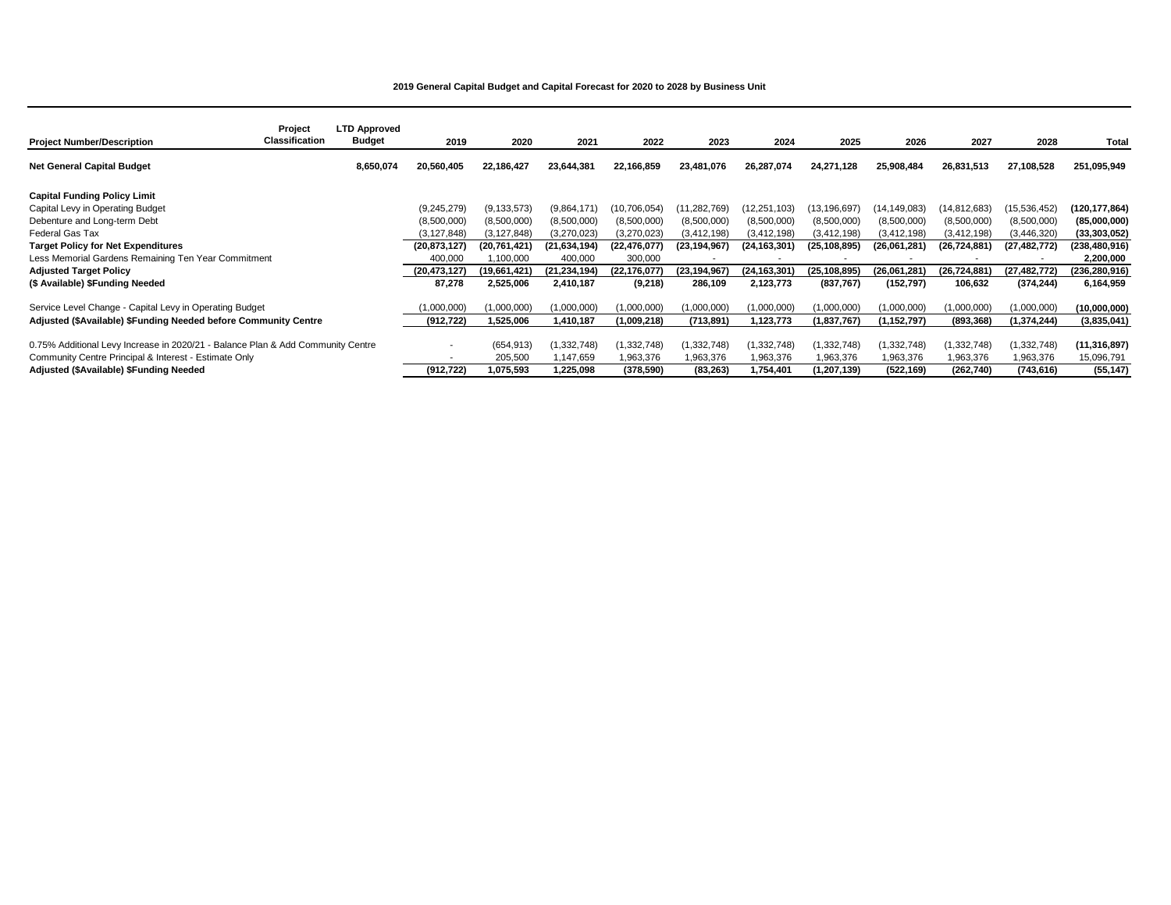| <b>Project Number/Description</b>                                               | Project<br>Classification | <b>LTD Approved</b><br>Budget | 2019                     | 2020           | 2021           | 2022           | 2023           | 2024           | 2025           | 2026          | 2027           | 2028           | Total           |
|---------------------------------------------------------------------------------|---------------------------|-------------------------------|--------------------------|----------------|----------------|----------------|----------------|----------------|----------------|---------------|----------------|----------------|-----------------|
| <b>Net General Capital Budget</b>                                               |                           | 8,650,074                     | 20,560,405               | 22,186,427     | 23,644,381     | 22,166,859     | 23,481,076     | 26,287,074     | 24,271,128     | 25,908,484    | 26,831,513     | 27,108,528     | 251,095,949     |
| <b>Capital Funding Policy Limit</b>                                             |                           |                               |                          |                |                |                |                |                |                |               |                |                |                 |
| Capital Levy in Operating Budget                                                |                           |                               | (9,245,279)              | (9, 133, 573)  | (9,864,171)    | (10, 706, 054) | (11, 282, 769) | 12,251,103)    | (13,196,697    | 14,149,083)   | (14, 812, 683) | (15, 536, 452) | (120,177,864)   |
| Debenture and Long-term Debt                                                    |                           |                               | (8,500,000)              | (8,500,000)    | (8,500,000)    | (8,500,000)    | (8,500,000)    | (8,500,000)    | (8,500,000)    | (8,500,000)   | (8,500,000)    | (8,500,000)    | (85,000,000)    |
| Federal Gas Tax                                                                 |                           |                               | (3, 127, 848)            | (3, 127, 848)  | (3,270,023)    | (3,270,023)    | (3, 412, 198)  | (3, 412, 198)  | (3, 412, 198)  | (3, 412, 198) | (3, 412, 198)  | (3,446,320)    | (33, 303, 052)  |
| <b>Target Policy for Net Expenditures</b>                                       |                           |                               | (20, 873, 127)           | (20, 761, 421) | (21, 634, 194) | (22, 476, 077) | (23, 194, 967) | (24, 163, 301) | (25, 108, 895) | (26,061,281)  | (26, 724, 881) | (27, 482, 772) | (238, 480, 916) |
| Less Memorial Gardens Remaining Ten Year Commitment                             |                           |                               | 400,000                  | 1,100,000      | 400,000        | 300,000        |                |                |                |               |                |                | 2,200,000       |
| <b>Adjusted Target Policy</b>                                                   |                           |                               | (20, 473, 127)           | (19,661,421)   | (21, 234, 194) | (22, 176, 077) | (23,194,967)   | (24,163,301)   | (25,108,895)   | (26,061,281)  | (26,724,881)   | (27, 482, 772) | (236,280,916)   |
| (\$ Available) \$Funding Needed                                                 |                           |                               | 87,278                   | 2,525,006      | 2,410,187      | (9,218)        | 286,109        | 2,123,773      | (837, 767)     | (152, 797)    | 106,632        | (374, 244)     | 6,164,959       |
| Service Level Change - Capital Levy in Operating Budget                         |                           |                               | 1.000.000)               | (1,000,000)    | (1,000,000)    | (1,000,000)    | (1,000,000)    | (1,000,000)    | (1,000,000)    | (1,000,000)   | (1,000,000)    | (1,000,000)    | (10,000,000)    |
| Adjusted (\$Available) \$Funding Needed before Community Centre                 |                           |                               | (912, 722)               | 1,525,006      | 1,410,187      | (1,009,218)    | (713,891)      | 1,123,773      | (1,837,767)    | (1,152,797)   | (893, 368)     | (1, 374, 244)  | (3,835,041)     |
| 0.75% Additional Levy Increase in 2020/21 - Balance Plan & Add Community Centre |                           |                               | $\overline{\phantom{a}}$ | (654, 913)     | (1,332,748)    | (1, 332, 748)  | (1,332,748)    | (1,332,748)    | (1,332,748)    | (1, 332, 748) | (1, 332, 748)  | (1, 332, 748)  | (11, 316, 897)  |
| Community Centre Principal & Interest - Estimate Only                           |                           |                               |                          | 205,500        | 1,147,659      | 1,963,376      | 1,963,376      | 1,963,376      | 1,963,376      | .963,376      | 1,963,376      | 1,963,376      | 15,096,791      |
| Adjusted (\$Available) \$Funding Needed                                         |                           |                               | (912, 722)               | 1,075,593      | 225,098.       | (378, 590)     | (83, 263)      | 1,754,401      | (1, 207, 139)  | (522, 169)    | (262, 740)     | (743, 616)     | (55, 147)       |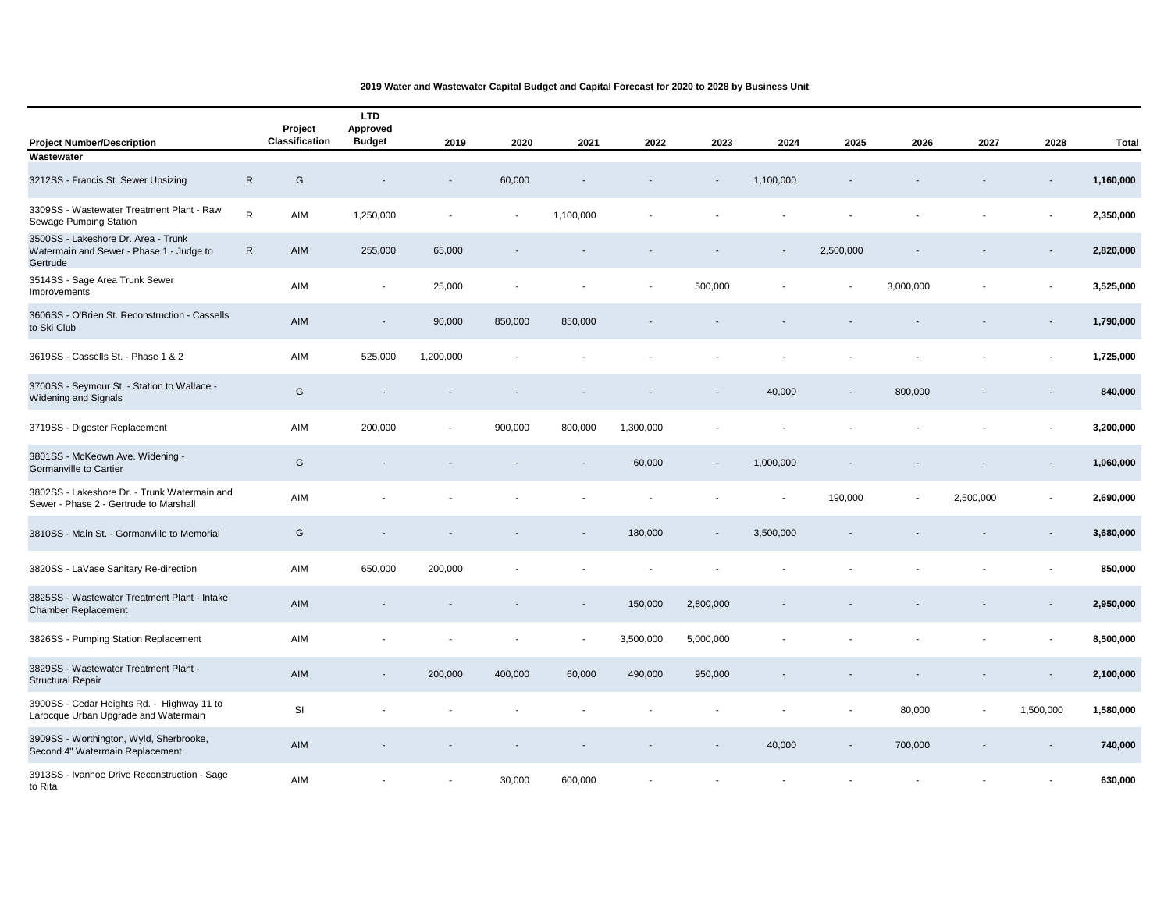|                                                                                             |              | Project<br>Classification | <b>LTD</b><br>Approved<br><b>Budget</b> |                          |         |                          |           |                          |                |           |                |           |                          |           |
|---------------------------------------------------------------------------------------------|--------------|---------------------------|-----------------------------------------|--------------------------|---------|--------------------------|-----------|--------------------------|----------------|-----------|----------------|-----------|--------------------------|-----------|
| <b>Project Number/Description</b><br>Wastewater                                             |              |                           |                                         | 2019                     | 2020    | 2021                     | 2022      | 2023                     | 2024           | 2025      | 2026           | 2027      | 2028                     | Total     |
| 3212SS - Francis St. Sewer Upsizing                                                         | $\mathsf{R}$ | G                         |                                         |                          | 60,000  |                          |           | $\overline{\phantom{a}}$ | 1,100,000      |           |                |           |                          | 1,160,000 |
| 3309SS - Wastewater Treatment Plant - Raw<br>Sewage Pumping Station                         | $\mathsf{R}$ | AIM                       | 1,250,000                               |                          |         | 1,100,000                |           |                          |                |           |                |           |                          | 2,350,000 |
| 3500SS - Lakeshore Dr. Area - Trunk<br>Watermain and Sewer - Phase 1 - Judge to<br>Gertrude | $\mathsf{R}$ | AIM                       | 255,000                                 | 65,000                   |         |                          |           |                          |                | 2,500,000 |                |           |                          | 2,820,000 |
| 3514SS - Sage Area Trunk Sewer<br>Improvements                                              |              | AIM                       |                                         | 25,000                   |         |                          |           | 500,000                  |                |           | 3,000,000      |           |                          | 3,525,000 |
| 3606SS - O'Brien St. Reconstruction - Cassells<br>to Ski Club                               |              | AIM                       | $\overline{\phantom{a}}$                | 90,000                   | 850,000 | 850,000                  |           |                          |                |           |                |           |                          | 1,790,000 |
| 3619SS - Cassells St. - Phase 1 & 2                                                         |              | AIM                       | 525,000                                 | 1,200,000                |         |                          |           |                          |                |           |                |           |                          | 1,725,000 |
| 3700SS - Seymour St. - Station to Wallace -<br><b>Widening and Signals</b>                  |              | ${\mathsf G}$             |                                         |                          |         |                          |           | $\overline{\phantom{a}}$ | 40,000         |           | 800,000        |           |                          | 840,000   |
| 3719SS - Digester Replacement                                                               |              | AIM                       | 200,000                                 | $\overline{\phantom{a}}$ | 900,000 | 800,000                  | 1,300,000 | $\overline{\phantom{a}}$ |                |           |                |           |                          | 3,200,000 |
| 3801SS - McKeown Ave. Widening -<br><b>Gormanville to Cartier</b>                           |              | G                         |                                         |                          |         |                          | 60,000    | $\overline{\phantom{a}}$ | 1,000,000      |           |                |           |                          | 1,060,000 |
| 3802SS - Lakeshore Dr. - Trunk Watermain and<br>Sewer - Phase 2 - Gertrude to Marshall      |              | AIM                       |                                         |                          |         |                          |           |                          | $\blacksquare$ | 190,000   | $\blacksquare$ | 2,500,000 | $\overline{\phantom{a}}$ | 2,690,000 |
| 3810SS - Main St. - Gormanville to Memorial                                                 |              | G                         |                                         |                          |         |                          | 180,000   | $\overline{\phantom{a}}$ | 3,500,000      |           |                |           |                          | 3,680,000 |
| 3820SS - LaVase Sanitary Re-direction                                                       |              | AIM                       | 650,000                                 | 200,000                  |         |                          |           |                          |                |           |                |           |                          | 850,000   |
| 3825SS - Wastewater Treatment Plant - Intake<br><b>Chamber Replacement</b>                  |              | AIM                       |                                         |                          |         |                          | 150,000   | 2,800,000                |                |           |                |           |                          | 2,950,000 |
| 3826SS - Pumping Station Replacement                                                        |              | AIM                       |                                         |                          |         | $\overline{\phantom{a}}$ | 3,500,000 | 5,000,000                |                |           |                |           |                          | 8,500,000 |
| 3829SS - Wastewater Treatment Plant -<br><b>Structural Repair</b>                           |              | AIM                       |                                         | 200,000                  | 400,000 | 60,000                   | 490,000   | 950,000                  |                |           |                |           |                          | 2,100,000 |
| 3900SS - Cedar Heights Rd. - Highway 11 to<br>Larocque Urban Upgrade and Watermain          |              | SI                        |                                         |                          |         |                          |           |                          |                |           | 80,000         |           | 1,500,000                | 1,580,000 |
| 3909SS - Worthington, Wyld, Sherbrooke,<br>Second 4" Watermain Replacement                  |              | AIM                       |                                         |                          |         |                          |           |                          | 40,000         |           | 700,000        |           |                          | 740,000   |
| 3913SS - Ivanhoe Drive Reconstruction - Sage<br>to Rita                                     |              | AIM                       |                                         |                          | 30,000  | 600,000                  |           |                          |                |           |                |           |                          | 630,000   |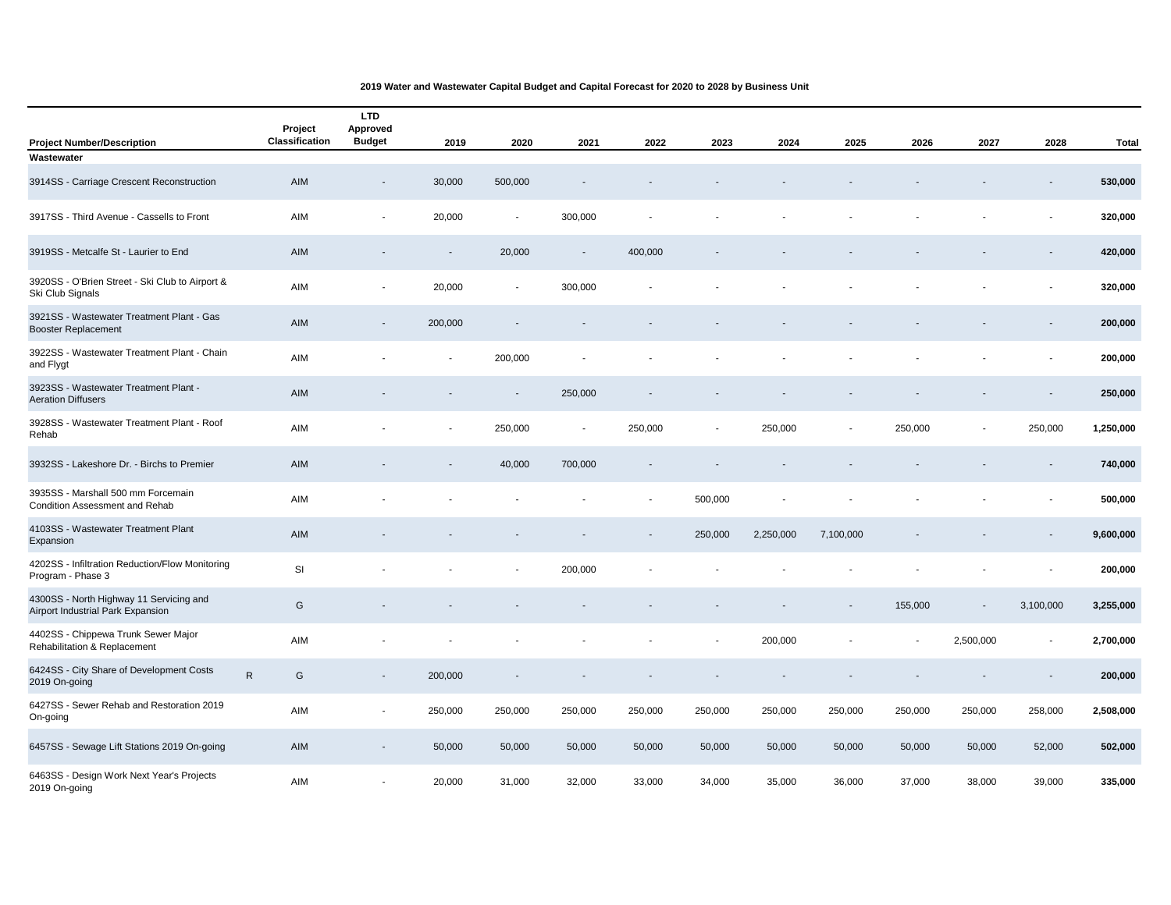| <b>Project Number/Description</b>                                            | Project<br>Classification | <b>LTD</b><br>Approved<br><b>Budget</b> | 2019                     | 2020                     | 2021                     | 2022    | 2023    | 2024      | 2025                     | 2026    | 2027                     | 2028                     | <b>Total</b> |
|------------------------------------------------------------------------------|---------------------------|-----------------------------------------|--------------------------|--------------------------|--------------------------|---------|---------|-----------|--------------------------|---------|--------------------------|--------------------------|--------------|
| Wastewater                                                                   |                           |                                         |                          |                          |                          |         |         |           |                          |         |                          |                          |              |
| 3914SS - Carriage Crescent Reconstruction                                    | AIM                       | $\frac{1}{2}$                           | 30,000                   | 500,000                  |                          |         |         |           |                          |         |                          |                          | 530,000      |
| 3917SS - Third Avenue - Cassells to Front                                    | AIM                       | $\overline{\phantom{a}}$                | 20,000                   | $\sim$                   | 300,000                  |         |         |           |                          |         |                          | $\overline{\phantom{a}}$ | 320,000      |
| 3919SS - Metcalfe St - Laurier to End                                        | AIM                       |                                         | $\blacksquare$           | 20,000                   |                          | 400,000 |         |           |                          |         |                          |                          | 420,000      |
| 3920SS - O'Brien Street - Ski Club to Airport &<br>Ski Club Signals          | AIM                       |                                         | 20,000                   | $\overline{\phantom{a}}$ | 300,000                  |         |         |           |                          |         |                          |                          | 320,000      |
| 3921SS - Wastewater Treatment Plant - Gas<br>Booster Replacement             | AIM                       | $\overline{\phantom{a}}$                | 200,000                  |                          |                          |         |         |           |                          |         |                          |                          | 200,000      |
| 3922SS - Wastewater Treatment Plant - Chain<br>and Flygt                     | AIM                       |                                         | $\overline{\phantom{a}}$ | 200,000                  |                          |         |         |           |                          |         |                          |                          | 200,000      |
| 3923SS - Wastewater Treatment Plant -<br><b>Aeration Diffusers</b>           | AIM                       |                                         | $\blacksquare$           | $\sim$                   | 250,000                  |         |         |           |                          |         |                          |                          | 250,000      |
| 3928SS - Wastewater Treatment Plant - Roof<br>Rehab                          | AIM                       |                                         | $\blacksquare$           | 250,000                  | $\overline{\phantom{a}}$ | 250,000 | $\sim$  | 250,000   | $\blacksquare$           | 250,000 | $\overline{\phantom{a}}$ | 250,000                  | 1,250,000    |
| 3932SS - Lakeshore Dr. - Birchs to Premier                                   | AIM                       |                                         |                          | 40,000                   | 700,000                  |         |         |           |                          |         |                          |                          | 740,000      |
| 3935SS - Marshall 500 mm Forcemain<br><b>Condition Assessment and Rehab</b>  | AIM                       |                                         |                          |                          |                          |         | 500,000 |           |                          |         |                          |                          | 500,000      |
| 4103SS - Wastewater Treatment Plant<br>Expansion                             | AIM                       |                                         |                          |                          |                          |         | 250,000 | 2,250,000 | 7,100,000                |         |                          | $\overline{\phantom{a}}$ | 9,600,000    |
| 4202SS - Infiltration Reduction/Flow Monitoring<br>Program - Phase 3         | SI                        |                                         |                          |                          | 200,000                  |         |         |           |                          |         |                          |                          | 200,000      |
| 4300SS - North Highway 11 Servicing and<br>Airport Industrial Park Expansion | G                         |                                         |                          |                          |                          |         |         |           | $\overline{\phantom{a}}$ | 155,000 | $\overline{\phantom{a}}$ | 3,100,000                | 3,255,000    |
| 4402SS - Chippewa Trunk Sewer Major<br>Rehabilitation & Replacement          | AIM                       |                                         |                          |                          |                          |         |         | 200,000   |                          |         | 2,500,000                | $\overline{\phantom{a}}$ | 2,700,000    |
| 6424SS - City Share of Development Costs<br>2019 On-going                    | $\mathsf{R}$<br>G         | $\overline{\phantom{a}}$                | 200,000                  |                          |                          |         |         |           |                          |         |                          |                          | 200,000      |
| 6427SS - Sewer Rehab and Restoration 2019<br>On-going                        | AIM                       |                                         | 250,000                  | 250,000                  | 250,000                  | 250,000 | 250,000 | 250,000   | 250,000                  | 250,000 | 250,000                  | 258,000                  | 2,508,000    |
| 6457SS - Sewage Lift Stations 2019 On-going                                  | AIM                       | $\overline{\phantom{0}}$                | 50,000                   | 50,000                   | 50,000                   | 50,000  | 50,000  | 50,000    | 50,000                   | 50,000  | 50,000                   | 52,000                   | 502,000      |
| 6463SS - Design Work Next Year's Projects<br>2019 On-going                   | AIM                       | ٠                                       | 20,000                   | 31,000                   | 32,000                   | 33,000  | 34,000  | 35,000    | 36,000                   | 37,000  | 38,000                   | 39,000                   | 335,000      |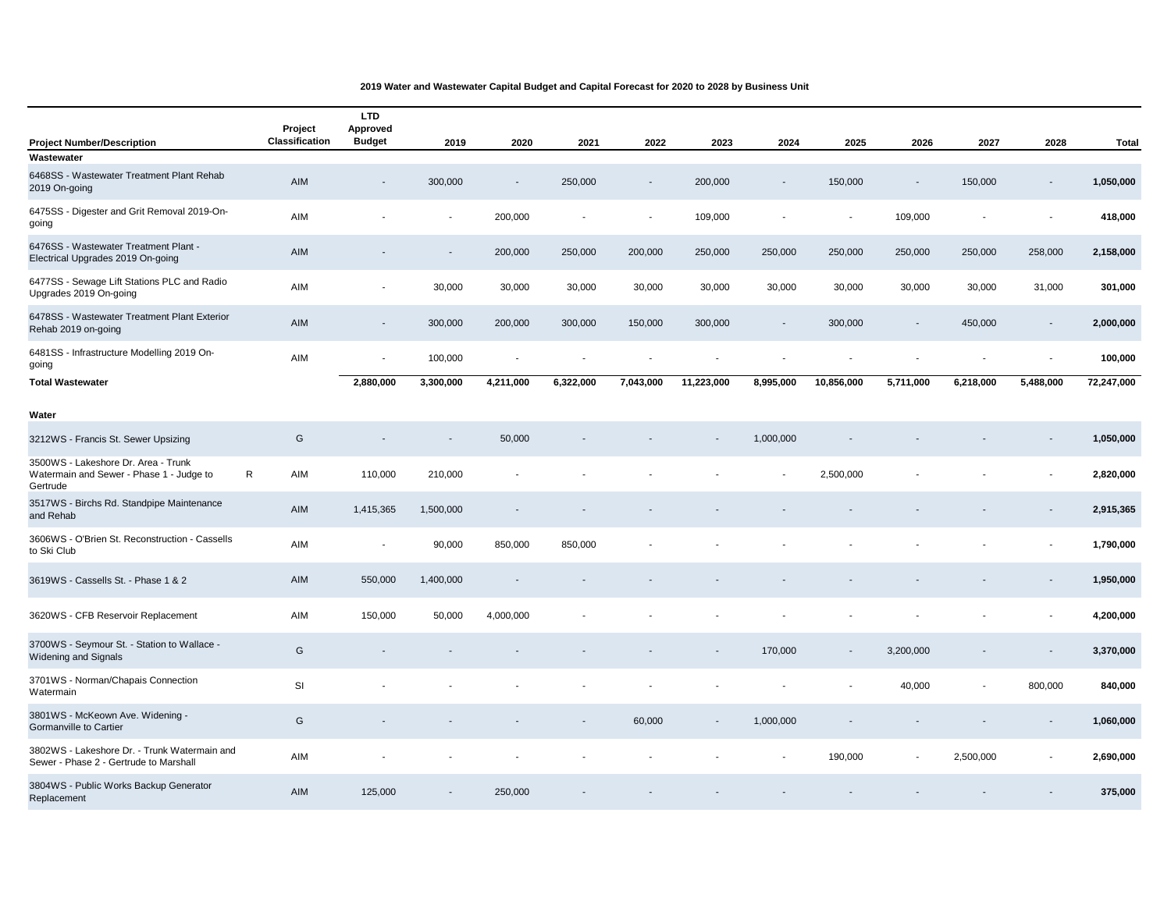| <b>Project Number/Description</b>                                                           | Project<br>Classification | <b>LTD</b><br>Approved<br><b>Budget</b> | 2019           | 2020           | 2021      | 2022      | 2023       | 2024                     | 2025                     | 2026                     | 2027      | 2028                     | <b>Total</b> |
|---------------------------------------------------------------------------------------------|---------------------------|-----------------------------------------|----------------|----------------|-----------|-----------|------------|--------------------------|--------------------------|--------------------------|-----------|--------------------------|--------------|
| Wastewater                                                                                  |                           |                                         |                |                |           |           |            |                          |                          |                          |           |                          |              |
| 6468SS - Wastewater Treatment Plant Rehab<br>2019 On-going                                  | AIM                       |                                         | 300,000        |                | 250,000   |           | 200,000    |                          | 150,000                  |                          | 150,000   |                          | 1,050,000    |
| 6475SS - Digester and Grit Removal 2019-On-<br>going                                        | AIM                       |                                         | $\overline{a}$ | 200,000        |           |           | 109,000    |                          | $\overline{a}$           | 109,000                  |           |                          | 418,000      |
| 6476SS - Wastewater Treatment Plant -<br>Electrical Upgrades 2019 On-going                  | AIM                       |                                         | L.             | 200,000        | 250,000   | 200,000   | 250,000    | 250,000                  | 250,000                  | 250,000                  | 250,000   | 258,000                  | 2,158,000    |
| 6477SS - Sewage Lift Stations PLC and Radio<br>Upgrades 2019 On-going                       | AIM                       | $\blacksquare$                          | 30,000         | 30,000         | 30,000    | 30,000    | 30,000     | 30,000                   | 30,000                   | 30,000                   | 30,000    | 31,000                   | 301,000      |
| 6478SS - Wastewater Treatment Plant Exterior<br>Rehab 2019 on-going                         | AIM                       | $\overline{\phantom{a}}$                | 300,000        | 200,000        | 300,000   | 150,000   | 300,000    | $\overline{\phantom{a}}$ | 300,000                  |                          | 450,000   | $\sim$                   | 2,000,000    |
| 6481SS - Infrastructure Modelling 2019 On-<br>going                                         | AIM                       | ٠                                       | 100,000        | $\blacksquare$ |           |           |            | ÷.                       |                          | $\overline{\phantom{a}}$ | ٠         | $\overline{\phantom{a}}$ | 100,000      |
| <b>Total Wastewater</b>                                                                     |                           | 2,880,000                               | 3,300,000      | 4,211,000      | 6,322,000 | 7,043,000 | 11,223,000 | 8,995,000                | 10,856,000               | 5,711,000                | 6,218,000 | 5,488,000                | 72,247,000   |
| Water                                                                                       |                           |                                         |                |                |           |           |            |                          |                          |                          |           |                          |              |
|                                                                                             | G                         |                                         |                | 50,000         |           |           |            | 1,000,000                |                          |                          |           |                          | 1,050,000    |
| 3212WS - Francis St. Sewer Upsizing                                                         |                           |                                         |                |                |           |           |            |                          |                          |                          |           |                          |              |
| 3500WS - Lakeshore Dr. Area - Trunk<br>Watermain and Sewer - Phase 1 - Judge to<br>Gertrude | $\mathsf{R}$<br>AIM       | 110,000                                 | 210,000        |                |           |           |            |                          | 2,500,000                |                          |           |                          | 2,820,000    |
| 3517WS - Birchs Rd. Standpipe Maintenance<br>and Rehab                                      | AIM                       | 1,415,365                               | 1,500,000      |                |           |           |            |                          |                          |                          |           |                          | 2,915,365    |
| 3606WS - O'Brien St. Reconstruction - Cassells<br>to Ski Club                               | AIM                       | $\overline{\phantom{a}}$                | 90,000         | 850,000        | 850,000   |           |            |                          |                          |                          |           |                          | 1,790,000    |
| 3619WS - Cassells St. - Phase 1 & 2                                                         | AIM                       | 550,000                                 | 1,400,000      |                |           |           |            |                          |                          |                          |           |                          | 1,950,000    |
| 3620WS - CFB Reservoir Replacement                                                          | AIM                       | 150,000                                 | 50,000         | 4,000,000      |           |           |            |                          |                          |                          |           |                          | 4,200,000    |
| 3700WS - Seymour St. - Station to Wallace -<br><b>Widening and Signals</b>                  | G                         |                                         |                |                |           |           |            | 170,000                  | $\overline{\phantom{a}}$ | 3,200,000                |           |                          | 3,370,000    |
| 3701WS - Norman/Chapais Connection<br>Watermain                                             | SI                        |                                         |                |                |           |           |            |                          |                          | 40,000                   |           | 800,000                  | 840,000      |
| 3801WS - McKeown Ave. Widening -<br><b>Gormanville to Cartier</b>                           | G                         |                                         |                |                |           | 60,000    |            | 1,000,000                |                          |                          |           |                          | 1,060,000    |
| 3802WS - Lakeshore Dr. - Trunk Watermain and<br>Sewer - Phase 2 - Gertrude to Marshall      | AIM                       |                                         |                |                |           |           |            |                          | 190,000                  |                          | 2,500,000 |                          | 2,690,000    |
| 3804WS - Public Works Backup Generator<br>Replacement                                       | AIM                       | 125,000                                 | $\blacksquare$ | 250,000        |           |           |            |                          |                          |                          |           |                          | 375,000      |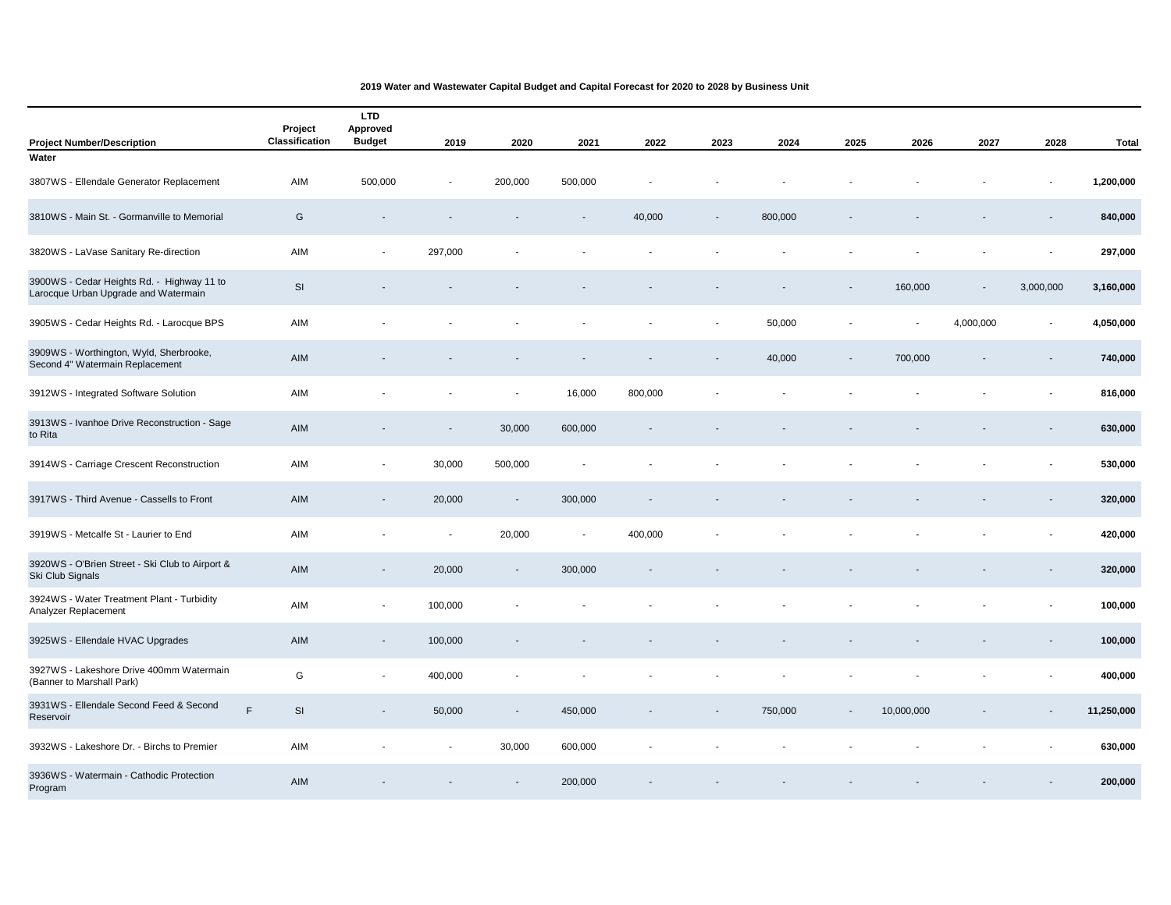| <b>Project Number/Description</b>                                                  | Project<br>Classification | <b>LTD</b><br>Approved<br><b>Budget</b> | 2019           | 2020                     | 2021    | 2022    | 2023 | 2024    | 2025           | 2026       | 2027                     | 2028           | <b>Total</b> |
|------------------------------------------------------------------------------------|---------------------------|-----------------------------------------|----------------|--------------------------|---------|---------|------|---------|----------------|------------|--------------------------|----------------|--------------|
| Water                                                                              |                           |                                         |                |                          |         |         |      |         |                |            |                          |                |              |
| 3807WS - Ellendale Generator Replacement                                           | AIM                       | 500,000                                 | $\overline{a}$ | 200,000                  | 500,000 |         |      |         |                |            |                          |                | 1,200,000    |
| 3810WS - Main St. - Gormanville to Memorial                                        | G                         |                                         |                |                          |         | 40,000  |      | 800,000 |                |            |                          |                | 840,000      |
| 3820WS - LaVase Sanitary Re-direction                                              | AIM                       |                                         | 297,000        |                          |         |         |      |         |                |            |                          |                | 297,000      |
| 3900WS - Cedar Heights Rd. - Highway 11 to<br>Larocque Urban Upgrade and Watermain | SI                        |                                         |                |                          |         |         |      |         |                | 160,000    | $\blacksquare$           | 3,000,000      | 3,160,000    |
| 3905WS - Cedar Heights Rd. - Larocque BPS                                          | AIM                       |                                         |                |                          |         |         |      | 50,000  |                |            | 4,000,000                |                | 4,050,000    |
| 3909WS - Worthington, Wyld, Sherbrooke,<br>Second 4" Watermain Replacement         | AIM                       |                                         |                |                          |         |         |      | 40,000  | $\blacksquare$ | 700,000    | $\overline{\phantom{a}}$ |                | 740,000      |
| 3912WS - Integrated Software Solution                                              | AIM                       |                                         |                | $\blacksquare$           | 16,000  | 800,000 |      |         |                |            |                          |                | 816,000      |
| 3913WS - Ivanhoe Drive Reconstruction - Sage<br>to Rita                            | AIM                       |                                         | $\sim$         | 30,000                   | 600,000 |         |      |         |                |            |                          |                | 630,000      |
| 3914WS - Carriage Crescent Reconstruction                                          | AIM                       | $\blacksquare$                          | 30,000         | 500,000                  |         |         |      |         |                |            |                          |                | 530,000      |
| 3917WS - Third Avenue - Cassells to Front                                          | AIM                       |                                         | 20,000         | $\overline{\phantom{a}}$ | 300,000 |         |      |         |                |            |                          |                | 320,000      |
| 3919WS - Metcalfe St - Laurier to End                                              | AIM                       |                                         | $\blacksquare$ | 20,000                   |         | 400,000 |      |         |                |            |                          | $\overline{a}$ | 420,000      |
| 3920WS - O'Brien Street - Ski Club to Airport &<br>Ski Club Signals                | AIM                       | $\overline{\phantom{a}}$                | 20,000         | $\overline{\phantom{a}}$ | 300,000 |         |      |         |                |            |                          |                | 320,000      |
| 3924WS - Water Treatment Plant - Turbidity<br>Analyzer Replacement                 | AIM                       |                                         | 100,000        |                          |         |         |      |         |                |            |                          |                | 100,000      |
| 3925WS - Ellendale HVAC Upgrades                                                   | AIM                       | $\blacksquare$                          | 100,000        |                          |         |         |      |         |                |            |                          |                | 100,000      |
| 3927WS - Lakeshore Drive 400mm Watermain<br>(Banner to Marshall Park)              | G                         |                                         | 400,000        |                          |         |         |      |         |                |            |                          |                | 400,000      |
| 3931WS - Ellendale Second Feed & Second<br>Reservoir                               | F.<br>SI                  |                                         | 50,000         | $\blacksquare$           | 450,000 |         |      | 750,000 | $\blacksquare$ | 10,000,000 |                          |                | 11,250,000   |
| 3932WS - Lakeshore Dr. - Birchs to Premier                                         | AIM                       |                                         | $\blacksquare$ | 30,000                   | 600,000 |         |      |         |                |            |                          |                | 630,000      |
| 3936WS - Watermain - Cathodic Protection<br>Program                                | <b>AIM</b>                |                                         |                |                          | 200,000 |         |      |         |                |            |                          |                | 200,000      |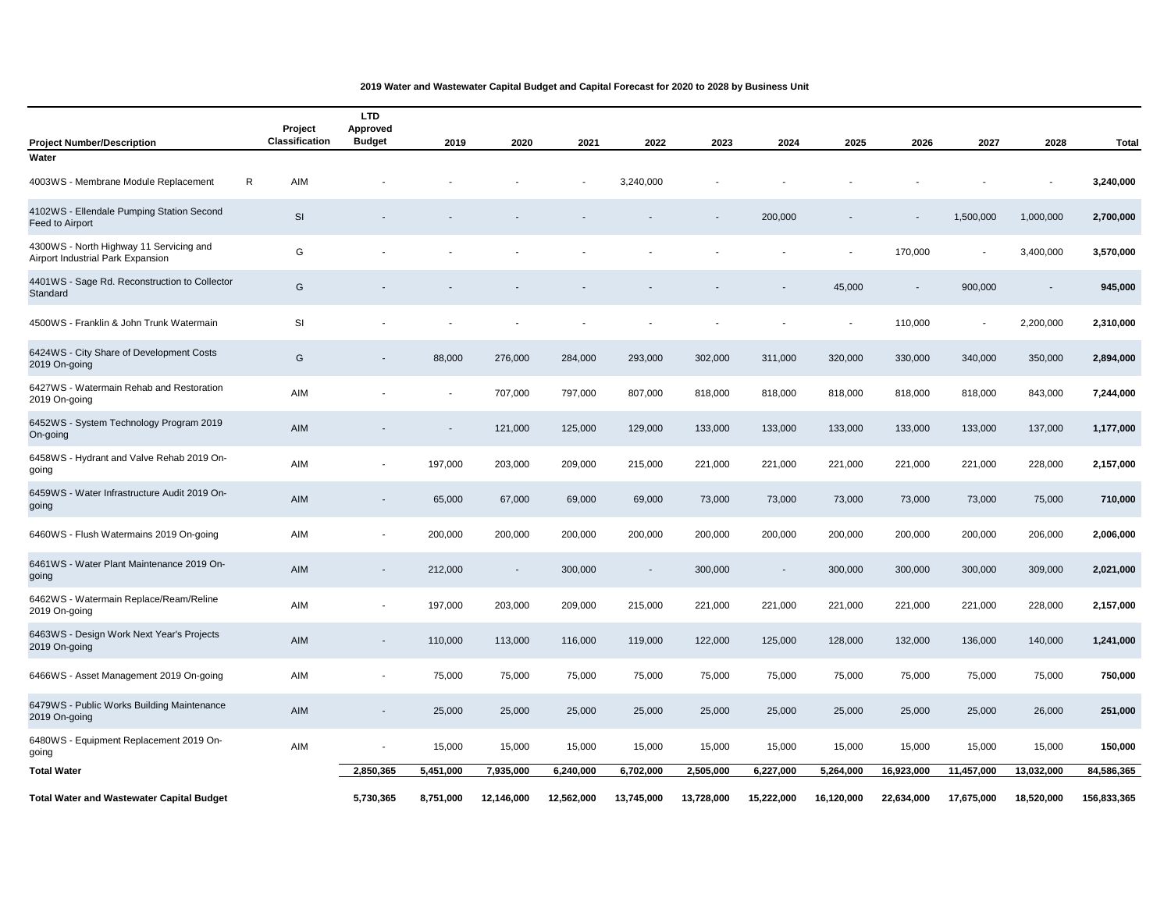| <b>Project Number/Description</b>                                            |    | Project<br><b>Classification</b> | <b>LTD</b><br>Approved<br><b>Budget</b> | 2019                     | 2020           | 2021       | 2022       | 2023       | 2024                     | 2025       | 2026                     | 2027           | 2028       | <b>Total</b> |
|------------------------------------------------------------------------------|----|----------------------------------|-----------------------------------------|--------------------------|----------------|------------|------------|------------|--------------------------|------------|--------------------------|----------------|------------|--------------|
| Water                                                                        |    |                                  |                                         |                          |                |            |            |            |                          |            |                          |                |            |              |
| 4003WS - Membrane Module Replacement                                         | R. | AIM                              |                                         |                          |                |            | 3,240,000  |            |                          |            |                          |                |            | 3,240,000    |
| 4102WS - Ellendale Pumping Station Second<br>Feed to Airport                 |    | <b>SI</b>                        |                                         |                          |                |            |            |            | 200,000                  |            |                          | 1,500,000      | 1,000,000  | 2,700,000    |
| 4300WS - North Highway 11 Servicing and<br>Airport Industrial Park Expansion |    | G                                |                                         |                          |                |            |            |            |                          |            | 170,000                  |                | 3,400,000  | 3,570,000    |
| 4401WS - Sage Rd. Reconstruction to Collector<br>Standard                    |    | G                                |                                         |                          |                |            |            |            |                          | 45,000     | $\overline{\phantom{a}}$ | 900,000        | $\sim$     | 945,000      |
| 4500WS - Franklin & John Trunk Watermain                                     |    | SI                               |                                         |                          |                |            |            |            |                          |            | 110,000                  | $\overline{a}$ | 2,200,000  | 2,310,000    |
| 6424WS - City Share of Development Costs<br>2019 On-going                    |    | G                                |                                         | 88,000                   | 276,000        | 284,000    | 293,000    | 302,000    | 311,000                  | 320,000    | 330,000                  | 340,000        | 350,000    | 2,894,000    |
| 6427WS - Watermain Rehab and Restoration<br>2019 On-going                    |    | AIM                              |                                         | $\overline{\phantom{a}}$ | 707,000        | 797,000    | 807,000    | 818,000    | 818,000                  | 818,000    | 818,000                  | 818,000        | 843,000    | 7,244,000    |
| 6452WS - System Technology Program 2019<br>On-going                          |    | AIM                              |                                         |                          | 121,000        | 125,000    | 129,000    | 133,000    | 133,000                  | 133,000    | 133,000                  | 133,000        | 137,000    | 1,177,000    |
| 6458WS - Hydrant and Valve Rehab 2019 On-<br>going                           |    | AIM                              |                                         | 197,000                  | 203,000        | 209,000    | 215,000    | 221,000    | 221,000                  | 221,000    | 221,000                  | 221,000        | 228,000    | 2,157,000    |
| 6459WS - Water Infrastructure Audit 2019 On-<br>going                        |    | AIM                              |                                         | 65,000                   | 67,000         | 69,000     | 69,000     | 73,000     | 73,000                   | 73,000     | 73,000                   | 73,000         | 75,000     | 710,000      |
| 6460WS - Flush Watermains 2019 On-going                                      |    | AIM                              |                                         | 200,000                  | 200,000        | 200,000    | 200,000    | 200,000    | 200,000                  | 200,000    | 200,000                  | 200,000        | 206,000    | 2,006,000    |
| 6461WS - Water Plant Maintenance 2019 On-<br>going                           |    | AIM                              |                                         | 212,000                  | $\blacksquare$ | 300,000    |            | 300,000    | $\overline{\phantom{a}}$ | 300,000    | 300,000                  | 300,000        | 309,000    | 2,021,000    |
| 6462WS - Watermain Replace/Ream/Reline<br>2019 On-going                      |    | AIM                              | $\overline{\phantom{a}}$                | 197,000                  | 203,000        | 209,000    | 215,000    | 221,000    | 221,000                  | 221,000    | 221,000                  | 221,000        | 228,000    | 2,157,000    |
| 6463WS - Design Work Next Year's Projects<br>2019 On-going                   |    | AIM                              | $\overline{\phantom{a}}$                | 110,000                  | 113,000        | 116,000    | 119,000    | 122,000    | 125,000                  | 128,000    | 132,000                  | 136,000        | 140,000    | 1,241,000    |
| 6466WS - Asset Management 2019 On-going                                      |    | AIM                              |                                         | 75,000                   | 75,000         | 75,000     | 75,000     | 75,000     | 75,000                   | 75,000     | 75,000                   | 75,000         | 75,000     | 750,000      |
| 6479WS - Public Works Building Maintenance<br>2019 On-going                  |    | AIM                              | $\blacksquare$                          | 25,000                   | 25,000         | 25,000     | 25,000     | 25,000     | 25,000                   | 25,000     | 25,000                   | 25,000         | 26,000     | 251,000      |
| 6480WS - Equipment Replacement 2019 On-<br>going                             |    | AIM                              |                                         | 15,000                   | 15,000         | 15,000     | 15,000     | 15,000     | 15,000                   | 15,000     | 15,000                   | 15,000         | 15,000     | 150,000      |
| <b>Total Water</b>                                                           |    |                                  | 2.850.365                               | 5,451,000                | 7,935,000      | 6,240,000  | 6,702,000  | 2,505,000  | 6,227,000                | 5,264,000  | 16,923,000               | 11,457,000     | 13,032,000 | 84,586,365   |
| <b>Total Water and Wastewater Capital Budget</b>                             |    |                                  | 5,730,365                               | 8,751,000                | 12,146,000     | 12,562,000 | 13,745,000 | 13,728,000 | 15,222,000               | 16,120,000 | 22.634.000               | 17,675,000     | 18,520,000 | 156,833,365  |